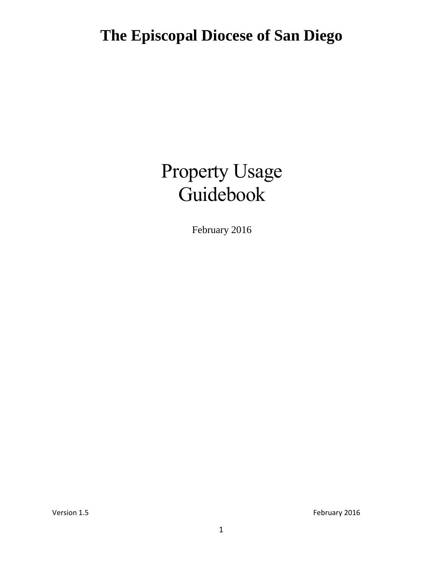# Property Usage Guidebook

February 2016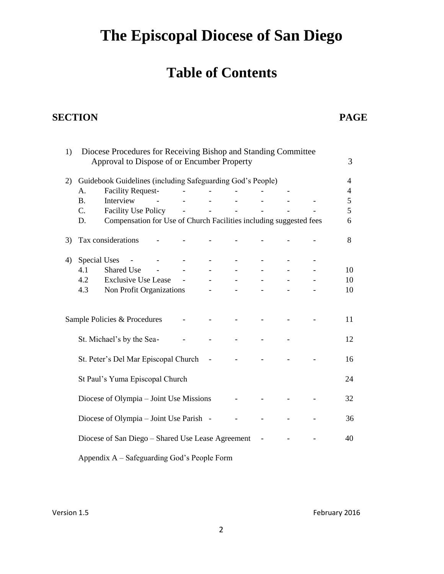### **Table of Contents**

### **SECTION PAGE**

| 1) |                     | Diocese Procedures for Receiving Bishop and Standing Committee<br>Approval to Dispose of or Encumber Property |  |  |  | 3              |
|----|---------------------|---------------------------------------------------------------------------------------------------------------|--|--|--|----------------|
| 2) |                     | Guidebook Guidelines (including Safeguarding God's People)                                                    |  |  |  | $\overline{4}$ |
|    | A.                  | <b>Facility Request-</b>                                                                                      |  |  |  | $\overline{4}$ |
|    | <b>B.</b>           | Interview                                                                                                     |  |  |  | 5              |
|    | C.                  | <b>Facility Use Policy</b>                                                                                    |  |  |  | 5              |
|    | D.                  | Compensation for Use of Church Facilities including suggested fees                                            |  |  |  | 6              |
| 3) |                     | Tax considerations                                                                                            |  |  |  | 8              |
| 4) | <b>Special Uses</b> |                                                                                                               |  |  |  |                |
|    | 4.1                 | <b>Shared Use</b>                                                                                             |  |  |  | 10             |
|    | 4.2                 | <b>Exclusive Use Lease</b>                                                                                    |  |  |  | 10             |
|    | 4.3                 | Non Profit Organizations                                                                                      |  |  |  | 10             |
|    |                     | Sample Policies & Procedures                                                                                  |  |  |  | 11             |
|    |                     | St. Michael's by the Sea-                                                                                     |  |  |  | 12             |
|    |                     | St. Peter's Del Mar Episcopal Church                                                                          |  |  |  | 16             |
|    |                     | St Paul's Yuma Episcopal Church                                                                               |  |  |  | 24             |
|    |                     | Diocese of Olympia – Joint Use Missions                                                                       |  |  |  | 32             |
|    |                     | Diocese of Olympia – Joint Use Parish -                                                                       |  |  |  | 36             |
|    |                     | Diocese of San Diego - Shared Use Lease Agreement                                                             |  |  |  | 40             |
|    |                     | Appendix A - Safeguarding God's People Form                                                                   |  |  |  |                |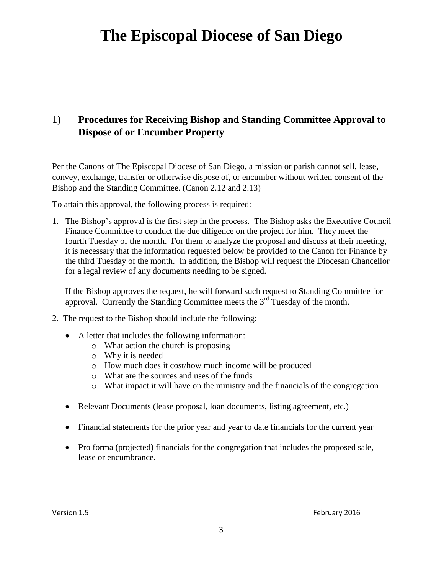### 1) **Procedures for Receiving Bishop and Standing Committee Approval to Dispose of or Encumber Property**

Per the Canons of The Episcopal Diocese of San Diego, a mission or parish cannot sell, lease, convey, exchange, transfer or otherwise dispose of, or encumber without written consent of the Bishop and the Standing Committee. (Canon 2.12 and 2.13)

To attain this approval, the following process is required:

1. The Bishop's approval is the first step in the process. The Bishop asks the Executive Council Finance Committee to conduct the due diligence on the project for him. They meet the fourth Tuesday of the month. For them to analyze the proposal and discuss at their meeting, it is necessary that the information requested below be provided to the Canon for Finance by the third Tuesday of the month. In addition, the Bishop will request the Diocesan Chancellor for a legal review of any documents needing to be signed.

If the Bishop approves the request, he will forward such request to Standing Committee for approval. Currently the Standing Committee meets the  $3<sup>rd</sup>$  Tuesday of the month.

- 2. The request to the Bishop should include the following:
	- A letter that includes the following information:
		- o What action the church is proposing
		- o Why it is needed
		- o How much does it cost/how much income will be produced
		- o What are the sources and uses of the funds
		- o What impact it will have on the ministry and the financials of the congregation
	- Relevant Documents (lease proposal, loan documents, listing agreement, etc.)
	- Financial statements for the prior year and year to date financials for the current year
	- Pro forma (projected) financials for the congregation that includes the proposed sale, lease or encumbrance.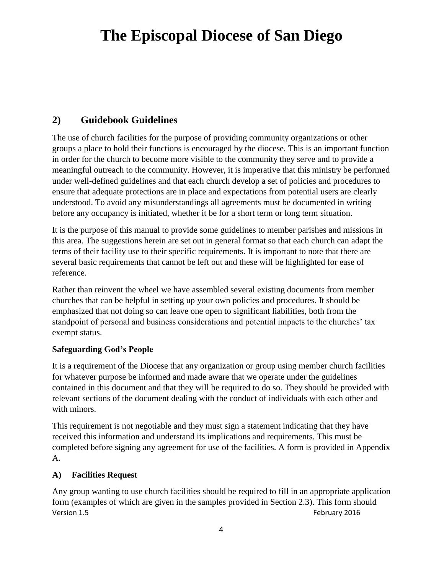### **2) Guidebook Guidelines**

The use of church facilities for the purpose of providing community organizations or other groups a place to hold their functions is encouraged by the diocese. This is an important function in order for the church to become more visible to the community they serve and to provide a meaningful outreach to the community. However, it is imperative that this ministry be performed under well-defined guidelines and that each church develop a set of policies and procedures to ensure that adequate protections are in place and expectations from potential users are clearly understood. To avoid any misunderstandings all agreements must be documented in writing before any occupancy is initiated, whether it be for a short term or long term situation.

It is the purpose of this manual to provide some guidelines to member parishes and missions in this area. The suggestions herein are set out in general format so that each church can adapt the terms of their facility use to their specific requirements. It is important to note that there are several basic requirements that cannot be left out and these will be highlighted for ease of reference.

Rather than reinvent the wheel we have assembled several existing documents from member churches that can be helpful in setting up your own policies and procedures. It should be emphasized that not doing so can leave one open to significant liabilities, both from the standpoint of personal and business considerations and potential impacts to the churches' tax exempt status.

#### **Safeguarding God's People**

It is a requirement of the Diocese that any organization or group using member church facilities for whatever purpose be informed and made aware that we operate under the guidelines contained in this document and that they will be required to do so. They should be provided with relevant sections of the document dealing with the conduct of individuals with each other and with minors.

This requirement is not negotiable and they must sign a statement indicating that they have received this information and understand its implications and requirements. This must be completed before signing any agreement for use of the facilities. A form is provided in Appendix A.

#### **A) Facilities Request**

Version 1.5 **February 2016** Any group wanting to use church facilities should be required to fill in an appropriate application form (examples of which are given in the samples provided in Section 2.3). This form should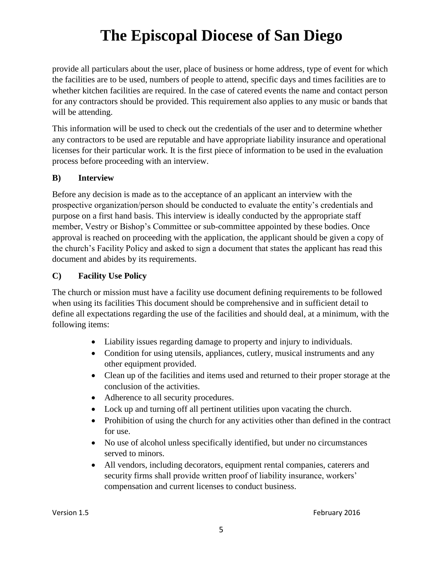provide all particulars about the user, place of business or home address, type of event for which the facilities are to be used, numbers of people to attend, specific days and times facilities are to whether kitchen facilities are required. In the case of catered events the name and contact person for any contractors should be provided. This requirement also applies to any music or bands that will be attending.

This information will be used to check out the credentials of the user and to determine whether any contractors to be used are reputable and have appropriate liability insurance and operational licenses for their particular work. It is the first piece of information to be used in the evaluation process before proceeding with an interview.

#### **B) Interview**

Before any decision is made as to the acceptance of an applicant an interview with the prospective organization/person should be conducted to evaluate the entity's credentials and purpose on a first hand basis. This interview is ideally conducted by the appropriate staff member, Vestry or Bishop's Committee or sub-committee appointed by these bodies. Once approval is reached on proceeding with the application, the applicant should be given a copy of the church's Facility Policy and asked to sign a document that states the applicant has read this document and abides by its requirements.

#### **C) Facility Use Policy**

The church or mission must have a facility use document defining requirements to be followed when using its facilities This document should be comprehensive and in sufficient detail to define all expectations regarding the use of the facilities and should deal, at a minimum, with the following items:

- Liability issues regarding damage to property and injury to individuals.
- Condition for using utensils, appliances, cutlery, musical instruments and any other equipment provided.
- Clean up of the facilities and items used and returned to their proper storage at the conclusion of the activities.
- Adherence to all security procedures.
- Lock up and turning off all pertinent utilities upon vacating the church.
- Prohibition of using the church for any activities other than defined in the contract for use.
- No use of alcohol unless specifically identified, but under no circumstances served to minors.
- All vendors, including decorators, equipment rental companies, caterers and security firms shall provide written proof of liability insurance, workers' compensation and current licenses to conduct business.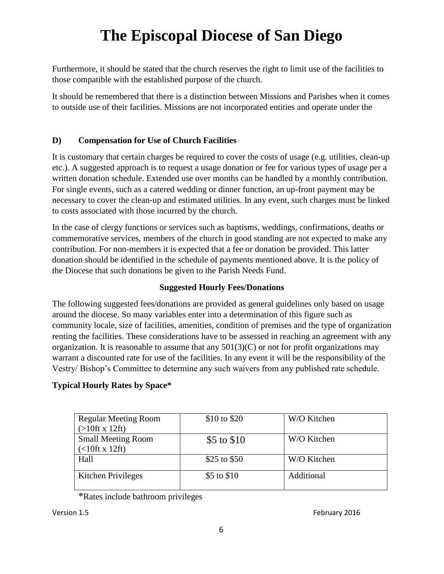Furthermore, it should be stated that the church reserves the right to limit use of the facilities to those compatible with the established purpose of the church.

It should be remembered that there is a distinction between Missions and Parishes when it comes to outside use of their facilities. Missions are not incorporated entities and operate under the

#### **D) Compensation for Use of Church Facilities**

It is customary that certain charges be required to cover the costs of usage (e.g. utilities, clean-up etc.). A suggested approach is to request a usage donation or fee for various types of usage per a written donation schedule. Extended use over months can be handled by a monthly contribution. For single events, such as a catered wedding or dinner function, an up-front payment may be necessary to cover the clean-up and estimated utilities. In any event, such charges must be linked to costs associated with those incurred by the church.

In the case of clergy functions or services such as baptisms, weddings, confirmations, deaths or commemorative services, members of the church in good standing are not expected to make any contribution. For non-members it is expected that a fee or donation be provided. This latter donation should be identified in the schedule of payments mentioned above. It is the policy of the Diocese that such donations be given to the Parish Needs Fund.

#### **Suggested Hourly Fees/Donations**

The following suggested fees/donations are provided as general guidelines only based on usage around the diocese. So many variables enter into a determination of this figure such as community locale, size of facilities, amenities, condition of premises and the type of organization renting the facilities. These considerations have to be assessed in reaching an agreement with any organization. It is reasonable to assume that any  $501(3)(C)$  or not for profit organizations may warrant a discounted rate for use of the facilities. In any event it will be the responsibility of the Vestry/ Bishop's Committee to determine any such waivers from any published rate schedule.

#### **Typical Hourly Rates by Space\***

| <b>Regular Meeting Room</b> | $$10 \text{ to } $20$ | W/O Kitchen |
|-----------------------------|-----------------------|-------------|
| $(>10$ ft x 12ft)           |                       |             |
| <b>Small Meeting Room</b>   | \$5 to \$10           | W/O Kitchen |
| $($ < 10ft x 12ft)          |                       |             |
| Hall                        | \$25 to \$50          | W/O Kitchen |
| Kitchen Privileges          | \$5 to \$10           | Additional  |

\*Rates include bathroom privileges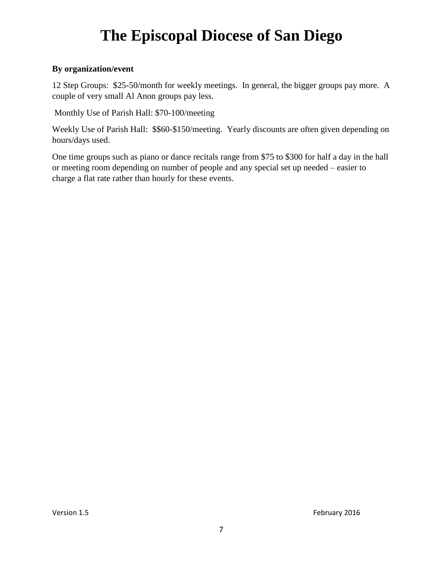#### **By organization/event**

12 Step Groups: \$25-50/month for weekly meetings. In general, the bigger groups pay more. A couple of very small Al Anon groups pay less.

Monthly Use of Parish Hall: \$70-100/meeting

Weekly Use of Parish Hall: \$\$60-\$150/meeting. Yearly discounts are often given depending on hours/days used.

One time groups such as piano or dance recitals range from \$75 to \$300 for half a day in the hall or meeting room depending on number of people and any special set up needed – easier to charge a flat rate rather than hourly for these events.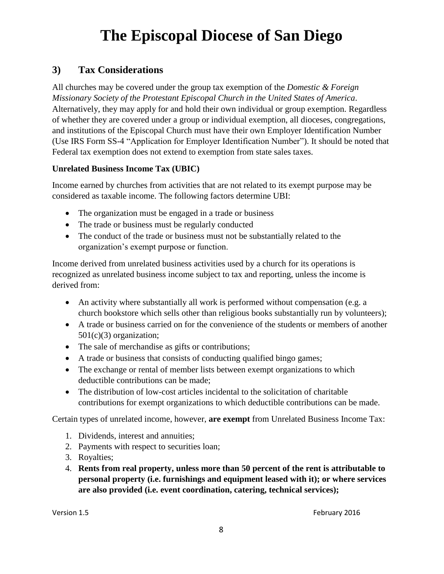#### **3) Tax Considerations**

All churches may be covered under the group tax exemption of the *Domestic & Foreign Missionary Society of the Protestant Episcopal Church in the United States of America*. Alternatively, they may apply for and hold their own individual or group exemption. Regardless of whether they are covered under a group or individual exemption, all dioceses, congregations, and institutions of the Episcopal Church must have their own Employer Identification Number (Use IRS Form SS-4 "Application for Employer Identification Number"). It should be noted that Federal tax exemption does not extend to exemption from state sales taxes.

#### **Unrelated Business Income Tax (UBIC)**

Income earned by churches from activities that are not related to its exempt purpose may be considered as taxable income. The following factors determine UBI:

- The organization must be engaged in a trade or business
- The trade or business must be regularly conducted
- The conduct of the trade or business must not be substantially related to the organization's exempt purpose or function.

Income derived from unrelated business activities used by a church for its operations is recognized as unrelated business income subject to tax and reporting, unless the income is derived from:

- An activity where substantially all work is performed without compensation (e.g. a church bookstore which sells other than religious books substantially run by volunteers);
- A trade or business carried on for the convenience of the students or members of another 501(c)(3) organization;
- The sale of merchandise as gifts or contributions;
- A trade or business that consists of conducting qualified bingo games;
- The exchange or rental of member lists between exempt organizations to which deductible contributions can be made;
- The distribution of low-cost articles incidental to the solicitation of charitable contributions for exempt organizations to which deductible contributions can be made.

Certain types of unrelated income, however, **are exempt** from Unrelated Business Income Tax:

- 1. Dividends, interest and annuities;
- 2. Payments with respect to securities loan;
- 3. Royalties;
- 4. **Rents from real property, unless more than 50 percent of the rent is attributable to personal property (i.e. furnishings and equipment leased with it); or where services are also provided (i.e. event coordination, catering, technical services);**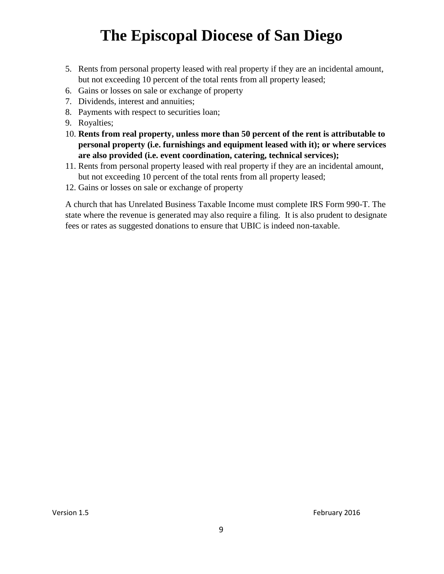- 5. Rents from personal property leased with real property if they are an incidental amount, but not exceeding 10 percent of the total rents from all property leased;
- 6. Gains or losses on sale or exchange of property
- 7. Dividends, interest and annuities;
- 8. Payments with respect to securities loan;
- 9. Royalties;
- 10. **Rents from real property, unless more than 50 percent of the rent is attributable to personal property (i.e. furnishings and equipment leased with it); or where services are also provided (i.e. event coordination, catering, technical services);**
- 11. Rents from personal property leased with real property if they are an incidental amount, but not exceeding 10 percent of the total rents from all property leased;
- 12. Gains or losses on sale or exchange of property

A church that has Unrelated Business Taxable Income must complete IRS Form 990-T. The state where the revenue is generated may also require a filing. It is also prudent to designate fees or rates as suggested donations to ensure that UBIC is indeed non-taxable.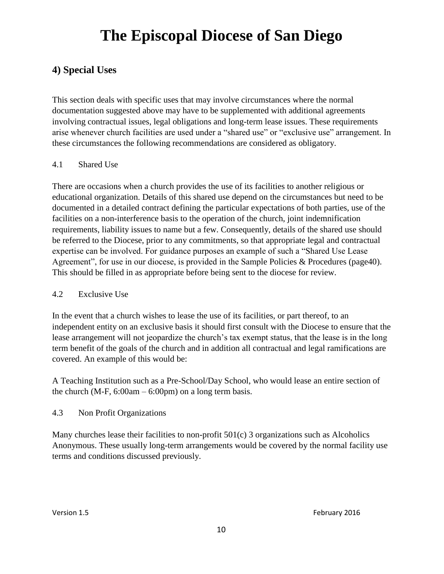### **4) Special Uses**

This section deals with specific uses that may involve circumstances where the normal documentation suggested above may have to be supplemented with additional agreements involving contractual issues, legal obligations and long-term lease issues. These requirements arise whenever church facilities are used under a "shared use" or "exclusive use" arrangement. In these circumstances the following recommendations are considered as obligatory.

#### 4.1 Shared Use

There are occasions when a church provides the use of its facilities to another religious or educational organization. Details of this shared use depend on the circumstances but need to be documented in a detailed contract defining the particular expectations of both parties, use of the facilities on a non-interference basis to the operation of the church, joint indemnification requirements, liability issues to name but a few. Consequently, details of the shared use should be referred to the Diocese, prior to any commitments, so that appropriate legal and contractual expertise can be involved. For guidance purposes an example of such a "Shared Use Lease Agreement", for use in our diocese, is provided in the Sample Policies & Procedures (page40). This should be filled in as appropriate before being sent to the diocese for review.

#### 4.2 Exclusive Use

In the event that a church wishes to lease the use of its facilities, or part thereof, to an independent entity on an exclusive basis it should first consult with the Diocese to ensure that the lease arrangement will not jeopardize the church's tax exempt status, that the lease is in the long term benefit of the goals of the church and in addition all contractual and legal ramifications are covered. An example of this would be:

A Teaching Institution such as a Pre-School/Day School, who would lease an entire section of the church (M-F,  $6:00am - 6:00pm$ ) on a long term basis.

#### 4.3 Non Profit Organizations

Many churches lease their facilities to non-profit 501(c) 3 organizations such as Alcoholics Anonymous. These usually long-term arrangements would be covered by the normal facility use terms and conditions discussed previously.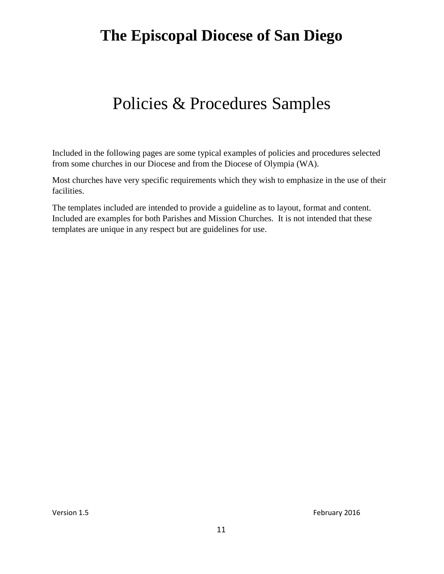## Policies & Procedures Samples

Included in the following pages are some typical examples of policies and procedures selected from some churches in our Diocese and from the Diocese of Olympia (WA).

Most churches have very specific requirements which they wish to emphasize in the use of their facilities.

The templates included are intended to provide a guideline as to layout, format and content. Included are examples for both Parishes and Mission Churches. It is not intended that these templates are unique in any respect but are guidelines for use.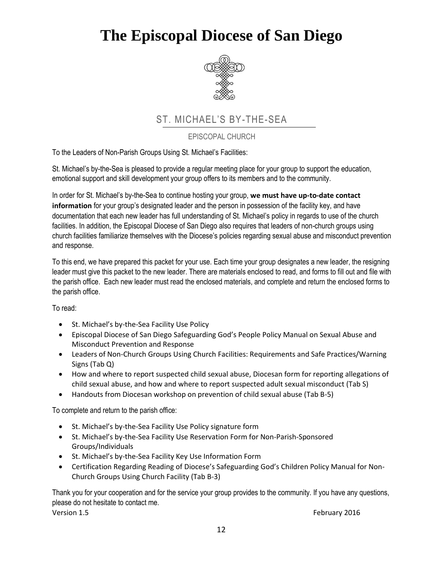

### ST. MICHAEL'S BY-THE-SEA

EPISCOPAL CHURCH

To the Leaders of Non-Parish Groups Using St. Michael's Facilities:

St. Michael's by-the-Sea is pleased to provide a regular meeting place for your group to support the education, emotional support and skill development your group offers to its members and to the community.

In order for St. Michael's by-the-Sea to continue hosting your group, **we must have up-to-date contact information** for your group's designated leader and the person in possession of the facility key, and have documentation that each new leader has full understanding of St. Michael's policy in regards to use of the church facilities. In addition, the Episcopal Diocese of San Diego also requires that leaders of non-church groups using church facilities familiarize themselves with the Diocese's policies regarding sexual abuse and misconduct prevention and response.

To this end, we have prepared this packet for your use. Each time your group designates a new leader, the resigning leader must give this packet to the new leader. There are materials enclosed to read, and forms to fill out and file with the parish office. Each new leader must read the enclosed materials, and complete and return the enclosed forms to the parish office.

To read:

- St. Michael's by-the-Sea Facility Use Policy
- Episcopal Diocese of San Diego Safeguarding God's People Policy Manual on Sexual Abuse and Misconduct Prevention and Response
- Leaders of Non-Church Groups Using Church Facilities: Requirements and Safe Practices/Warning Signs (Tab Q)
- How and where to report suspected child sexual abuse, Diocesan form for reporting allegations of child sexual abuse, and how and where to report suspected adult sexual misconduct (Tab S)
- Handouts from Diocesan workshop on prevention of child sexual abuse (Tab B-5)

To complete and return to the parish office:

- St. Michael's by-the-Sea Facility Use Policy signature form
- St. Michael's by-the-Sea Facility Use Reservation Form for Non-Parish-Sponsored Groups/Individuals
- St. Michael's by-the-Sea Facility Key Use Information Form
- Certification Regarding Reading of Diocese's Safeguarding God's Children Policy Manual for Non-Church Groups Using Church Facility (Tab B-3)

Thank you for your cooperation and for the service your group provides to the community. If you have any questions, please do not hesitate to contact me.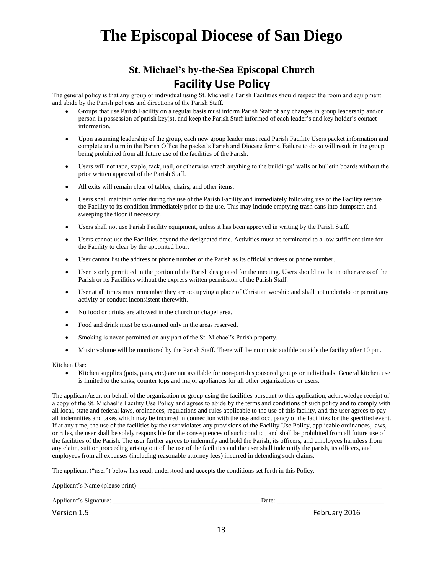### **St. Michael's by-the-Sea Episcopal Church Facility Use Policy**

The general policy is that any group or individual using St. Michael's Parish Facilities should respect the room and equipment and abide by the Parish policies and directions of the Parish Staff.

- Groups that use Parish Facility on a regular basis must inform Parish Staff of any changes in group leadership and/or person in possession of parish key(s), and keep the Parish Staff informed of each leader's and key holder's contact information.
- Upon assuming leadership of the group, each new group leader must read Parish Facility Users packet information and complete and turn in the Parish Office the packet's Parish and Diocese forms. Failure to do so will result in the group being prohibited from all future use of the facilities of the Parish.
- Users will not tape, staple, tack, nail, or otherwise attach anything to the buildings' walls or bulletin boards without the prior written approval of the Parish Staff.
- All exits will remain clear of tables, chairs, and other items.
- Users shall maintain order during the use of the Parish Facility and immediately following use of the Facility restore the Facility to its condition immediately prior to the use. This may include emptying trash cans into dumpster, and sweeping the floor if necessary.
- Users shall not use Parish Facility equipment, unless it has been approved in writing by the Parish Staff.
- Users cannot use the Facilities beyond the designated time. Activities must be terminated to allow sufficient time for the Facility to clear by the appointed hour.
- User cannot list the address or phone number of the Parish as its official address or phone number.
- User is only permitted in the portion of the Parish designated for the meeting. Users should not be in other areas of the Parish or its Facilities without the express written permission of the Parish Staff.
- User at all times must remember they are occupying a place of Christian worship and shall not undertake or permit any activity or conduct inconsistent therewith.
- No food or drinks are allowed in the church or chapel area.
- Food and drink must be consumed only in the areas reserved.
- Smoking is never permitted on any part of the St. Michael's Parish property.
- Music volume will be monitored by the Parish Staff. There will be no music audible outside the facility after 10 pm.

Kitchen Use:

Applicant's Name (please print) \_\_\_\_\_\_\_\_\_\_\_\_\_\_\_\_\_\_\_\_\_\_\_\_\_\_\_\_\_\_\_\_\_\_\_\_\_\_\_\_\_\_\_\_\_\_\_\_\_\_\_\_\_\_\_\_\_\_\_\_\_\_\_\_\_\_\_\_\_\_\_\_\_\_\_

 Kitchen supplies (pots, pans, etc.) are not available for non-parish sponsored groups or individuals. General kitchen use is limited to the sinks, counter tops and major appliances for all other organizations or users.

The applicant/user, on behalf of the organization or group using the facilities pursuant to this application, acknowledge receipt of a copy of the St. Michael's Facility Use Policy and agrees to abide by the terms and conditions of such policy and to comply with all local, state and federal laws, ordinances, regulations and rules applicable to the use of this facility, and the user agrees to pay all indemnities and taxes which may be incurred in connection with the use and occupancy of the facilities for the specified event. If at any time, the use of the facilities by the user violates any provisions of the Facility Use Policy, applicable ordinances, laws, or rules, the user shall be solely responsible for the consequences of such conduct, and shall be prohibited from all future use of the facilities of the Parish. The user further agrees to indemnify and hold the Parish, its officers, and employees harmless from any claim, suit or proceeding arising out of the use of the facilities and the user shall indemnify the parish, its officers, and employees from all expenses (including reasonable attorney fees) incurred in defending such claims.

The applicant ("user") below has read, understood and accepts the conditions set forth in this Policy.

| Typhoant's Frame (proase print) |       |               |
|---------------------------------|-------|---------------|
| Applicant's Signature:          | Date: |               |
| Version 1.5                     |       | February 2016 |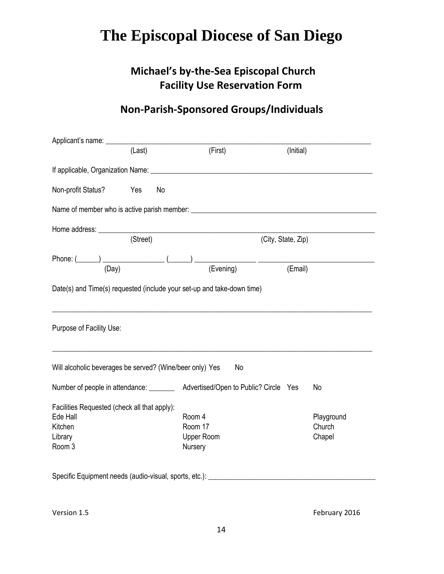### **Michael's by-the-Sea Episcopal Church Facility Use Reservation Form**

### **Non-Parish-Sponsored Groups/Individuals**

|                                                                                          | (Last)    | (First)                                                                                   | (Initial)          |                                |
|------------------------------------------------------------------------------------------|-----------|-------------------------------------------------------------------------------------------|--------------------|--------------------------------|
|                                                                                          |           |                                                                                           |                    |                                |
| Non-profit Status?                                                                       | Yes<br>No |                                                                                           |                    |                                |
|                                                                                          |           |                                                                                           |                    |                                |
|                                                                                          | (Street)  |                                                                                           | (City, State, Zip) |                                |
|                                                                                          |           | Phone: $(\_\_\_\_)$ $(\_\_\_)$ $(\_\_\_)$ $(\_\_\_)$ $(\_\_\_)$ $(\_\_\_$ $(\_\_$ $(\_\_$ |                    |                                |
|                                                                                          |           | Date(s) and Time(s) requested (include your set-up and take-down time)                    |                    |                                |
| Purpose of Facility Use:                                                                 |           |                                                                                           |                    |                                |
| Will alcoholic beverages be served? (Wine/beer only) Yes                                 |           | No                                                                                        |                    |                                |
| Number of people in attendance: ________                                                 |           | Advertised/Open to Public? Circle Yes                                                     |                    | No                             |
| Facilities Requested (check all that apply):<br>Ede Hall<br>Kitchen<br>Library<br>Room 3 |           | Room 4<br>Room 17<br><b>Upper Room</b><br>Nursery                                         |                    | Playground<br>Church<br>Chapel |
| Specific Equipment needs (audio-visual, sports, etc.): ________                          |           |                                                                                           |                    |                                |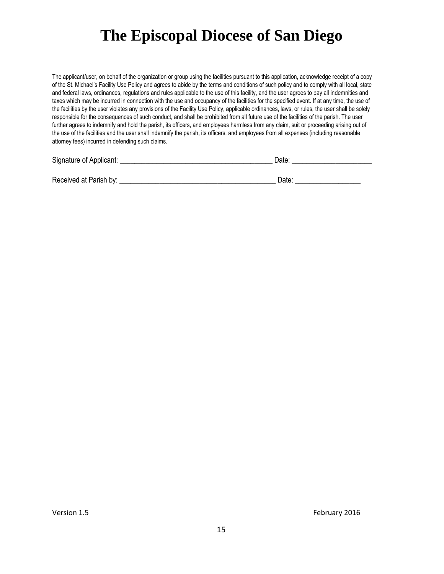The applicant/user, on behalf of the organization or group using the facilities pursuant to this application, acknowledge receipt of a copy of the St. Michael's Facility Use Policy and agrees to abide by the terms and conditions of such policy and to comply with all local, state and federal laws, ordinances, regulations and rules applicable to the use of this facility, and the user agrees to pay all indemnities and taxes which may be incurred in connection with the use and occupancy of the facilities for the specified event. If at any time, the use of the facilities by the user violates any provisions of the Facility Use Policy, applicable ordinances, laws, or rules, the user shall be solely responsible for the consequences of such conduct, and shall be prohibited from all future use of the facilities of the parish. The user further agrees to indemnify and hold the parish, its officers, and employees harmless from any claim, suit or proceeding arising out of the use of the facilities and the user shall indemnify the parish, its officers, and employees from all expenses (including reasonable attorney fees) incurred in defending such claims.

| Signature of Applicant: |  |
|-------------------------|--|
|                         |  |

Received at Parish by: \_\_\_\_\_\_\_\_\_\_\_\_\_\_\_\_\_\_\_\_\_\_\_\_\_\_\_\_\_\_\_\_\_\_\_\_\_\_\_\_\_\_\_ Date: \_\_\_\_\_\_\_\_\_\_\_\_\_\_\_\_\_\_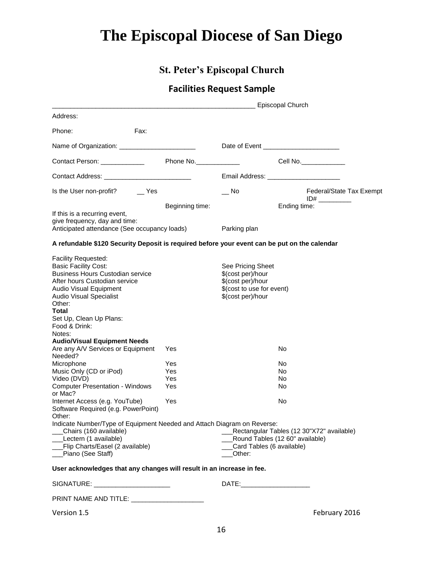### **St. Peter's Episcopal Church**

### **Facilities Request Sample**

|                                                                                                                                                                                                                                                                                                                                                                                                                                                                                                                                                  |                                               | Episcopal Church                                                                                                                                    |                                           |
|--------------------------------------------------------------------------------------------------------------------------------------------------------------------------------------------------------------------------------------------------------------------------------------------------------------------------------------------------------------------------------------------------------------------------------------------------------------------------------------------------------------------------------------------------|-----------------------------------------------|-----------------------------------------------------------------------------------------------------------------------------------------------------|-------------------------------------------|
| Address:                                                                                                                                                                                                                                                                                                                                                                                                                                                                                                                                         |                                               |                                                                                                                                                     |                                           |
| Phone:                                                                                                                                                                                                                                                                                                                                                                                                                                                                                                                                           | Fax:                                          |                                                                                                                                                     |                                           |
|                                                                                                                                                                                                                                                                                                                                                                                                                                                                                                                                                  |                                               |                                                                                                                                                     |                                           |
| Contact Person: Network of Contact Person:                                                                                                                                                                                                                                                                                                                                                                                                                                                                                                       | Phone No.                                     |                                                                                                                                                     | Cell No.                                  |
| Contact Address: _________________________________                                                                                                                                                                                                                                                                                                                                                                                                                                                                                               |                                               | Email Address: _________________________                                                                                                            |                                           |
| Is the User non-profit? ______ Yes                                                                                                                                                                                                                                                                                                                                                                                                                                                                                                               |                                               | No.                                                                                                                                                 | Federal/State Tax Exempt                  |
| If this is a recurring event,<br>give frequency, day and time:<br>Anticipated attendance (See occupancy loads) Parking plan                                                                                                                                                                                                                                                                                                                                                                                                                      | Beginning time:                               |                                                                                                                                                     | Ending time:                              |
| A refundable \$120 Security Deposit is required before your event can be put on the calendar                                                                                                                                                                                                                                                                                                                                                                                                                                                     |                                               |                                                                                                                                                     |                                           |
| Facility Requested:<br><b>Basic Facility Cost:</b><br><b>Business Hours Custodian service</b><br>After hours Custodian service<br>Audio Visual Equipment<br><b>Audio Visual Specialist</b><br>Other:<br>Total<br>Set Up, Clean Up Plans:<br>Food & Drink:<br>Notes:<br><b>Audio/Visual Equipment Needs</b><br>Are any A/V Services or Equipment<br>Needed?<br>Microphone<br>Music Only (CD or iPod)<br>Video (DVD)<br><b>Computer Presentation - Windows</b><br>or Mac?<br>Internet Access (e.g. YouTube)<br>Software Required (e.g. PowerPoint) | Yes<br><b>Yes</b><br>Yes<br>Yes<br>Yes<br>Yes | See Pricing Sheet<br>\$(cost per)/hour<br>\$(cost per)/hour<br>\$(cost to use for event)<br>\$(cost per)/hour<br>No<br>No<br>No<br>No.<br>No.<br>No |                                           |
| Other:<br>Indicate Number/Type of Equipment Needed and Attach Diagram on Reverse:<br>Chairs (160 available)<br>Lectern (1 available)<br>Flip Charts/Easel (2 available)<br>Piano (See Staff)<br>User acknowledges that any changes will result in an increase in fee.                                                                                                                                                                                                                                                                            |                                               | Round Tables (12 60" available)<br>Card Tables (6 available)<br>Other:                                                                              | Rectangular Tables (12 30"X72" available) |
| SIGNATURE: ________________________                                                                                                                                                                                                                                                                                                                                                                                                                                                                                                              |                                               | DATE:__________________________                                                                                                                     |                                           |
| PRINT NAME AND TITLE: NAME AND TITLE:                                                                                                                                                                                                                                                                                                                                                                                                                                                                                                            |                                               |                                                                                                                                                     |                                           |
| Version 1.5                                                                                                                                                                                                                                                                                                                                                                                                                                                                                                                                      |                                               |                                                                                                                                                     | February 2016                             |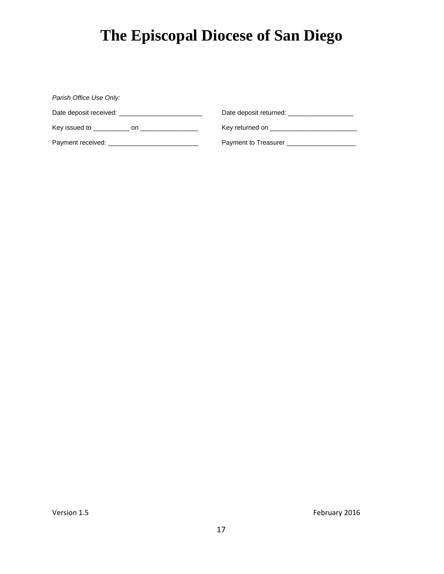| Parish Office Use Only:                                                                                                                                                                                                        |                                                                                                                |  |
|--------------------------------------------------------------------------------------------------------------------------------------------------------------------------------------------------------------------------------|----------------------------------------------------------------------------------------------------------------|--|
| Date deposit received: Date of the state of the state of the state of the state of the state of the state of the state of the state of the state of the state of the state of the state of the state of the state of the state |                                                                                                                |  |
| Key issued to concrete the contract of the series on the contract of the series of the series of the contract of the series of the series of the series of the series of the series of the series of the series of the series  | Key returned on the state of the state of the state of the state of the state of the state of the state of the |  |
| Payment received: <b>Example 2014</b>                                                                                                                                                                                          | Payment to Treasurer                                                                                           |  |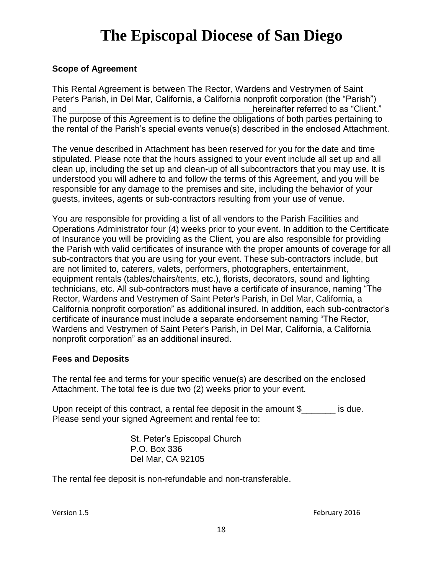#### **Scope of Agreement**

This Rental Agreement is between The Rector, Wardens and Vestrymen of Saint Peter's Parish, in Del Mar, California, a California nonprofit corporation (the "Parish") and \_\_\_\_\_\_\_\_\_\_\_\_\_\_\_\_\_\_\_\_\_\_\_\_\_\_\_\_\_\_\_\_\_\_\_\_\_\_hereinafter referred to as "Client." The purpose of this Agreement is to define the obligations of both parties pertaining to the rental of the Parish's special events venue(s) described in the enclosed Attachment.

The venue described in Attachment has been reserved for you for the date and time stipulated. Please note that the hours assigned to your event include all set up and all clean up, including the set up and clean-up of all subcontractors that you may use. It is understood you will adhere to and follow the terms of this Agreement, and you will be responsible for any damage to the premises and site, including the behavior of your guests, invitees, agents or sub-contractors resulting from your use of venue.

You are responsible for providing a list of all vendors to the Parish Facilities and Operations Administrator four (4) weeks prior to your event. In addition to the Certificate of Insurance you will be providing as the Client, you are also responsible for providing the Parish with valid certificates of insurance with the proper amounts of coverage for all sub-contractors that you are using for your event. These sub-contractors include, but are not limited to, caterers, valets, performers, photographers, entertainment, equipment rentals (tables/chairs/tents, etc.), florists, decorators, sound and lighting technicians, etc. All sub-contractors must have a certificate of insurance, naming "The Rector, Wardens and Vestrymen of Saint Peter's Parish, in Del Mar, California, a California nonprofit corporation" as additional insured. In addition, each sub-contractor's certificate of insurance must include a separate endorsement naming "The Rector, Wardens and Vestrymen of Saint Peter's Parish, in Del Mar, California, a California nonprofit corporation" as an additional insured.

#### **Fees and Deposits**

The rental fee and terms for your specific venue(s) are described on the enclosed Attachment. The total fee is due two (2) weeks prior to your event.

Upon receipt of this contract, a rental fee deposit in the amount \$\_\_\_\_\_\_\_ is due. Please send your signed Agreement and rental fee to:

> St. Peter's Episcopal Church P.O. Box 336 Del Mar, CA 92105

The rental fee deposit is non-refundable and non-transferable.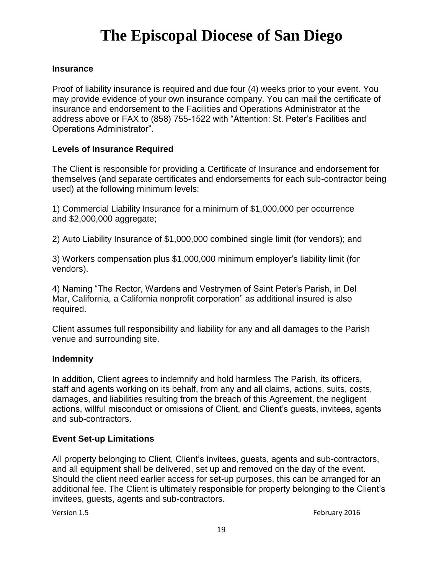#### **Insurance**

Proof of liability insurance is required and due four (4) weeks prior to your event. You may provide evidence of your own insurance company. You can mail the certificate of insurance and endorsement to the Facilities and Operations Administrator at the address above or FAX to (858) 755-1522 with "Attention: St. Peter's Facilities and Operations Administrator".

#### **Levels of Insurance Required**

The Client is responsible for providing a Certificate of Insurance and endorsement for themselves (and separate certificates and endorsements for each sub-contractor being used) at the following minimum levels:

1) Commercial Liability Insurance for a minimum of \$1,000,000 per occurrence and \$2,000,000 aggregate;

2) Auto Liability Insurance of \$1,000,000 combined single limit (for vendors); and

3) Workers compensation plus \$1,000,000 minimum employer's liability limit (for vendors).

4) Naming "The Rector, Wardens and Vestrymen of Saint Peter's Parish, in Del Mar, California, a California nonprofit corporation" as additional insured is also required.

Client assumes full responsibility and liability for any and all damages to the Parish venue and surrounding site.

#### **Indemnity**

In addition, Client agrees to indemnify and hold harmless The Parish, its officers, staff and agents working on its behalf, from any and all claims, actions, suits, costs, damages, and liabilities resulting from the breach of this Agreement, the negligent actions, willful misconduct or omissions of Client, and Client's guests, invitees, agents and sub-contractors.

#### **Event Set-up Limitations**

All property belonging to Client, Client's invitees, guests, agents and sub-contractors, and all equipment shall be delivered, set up and removed on the day of the event. Should the client need earlier access for set-up purposes, this can be arranged for an additional fee. The Client is ultimately responsible for property belonging to the Client's invitees, guests, agents and sub-contractors.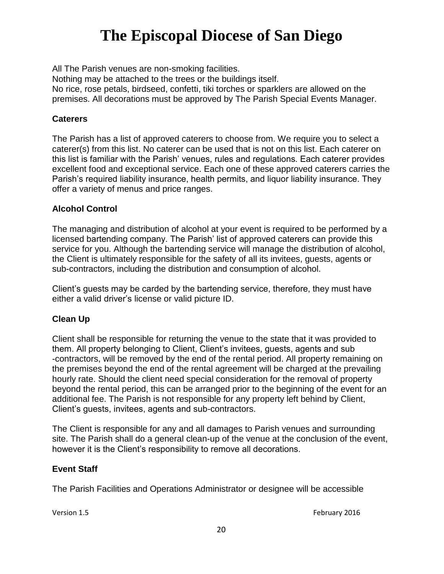All The Parish venues are non-smoking facilities.

Nothing may be attached to the trees or the buildings itself.

No rice, rose petals, birdseed, confetti, tiki torches or sparklers are allowed on the premises. All decorations must be approved by The Parish Special Events Manager.

#### **Caterers**

The Parish has a list of approved caterers to choose from. We require you to select a caterer(s) from this list. No caterer can be used that is not on this list. Each caterer on this list is familiar with the Parish' venues, rules and regulations. Each caterer provides excellent food and exceptional service. Each one of these approved caterers carries the Parish's required liability insurance, health permits, and liquor liability insurance. They offer a variety of menus and price ranges.

#### **Alcohol Control**

The managing and distribution of alcohol at your event is required to be performed by a licensed bartending company. The Parish' list of approved caterers can provide this service for you. Although the bartending service will manage the distribution of alcohol, the Client is ultimately responsible for the safety of all its invitees, guests, agents or sub-contractors, including the distribution and consumption of alcohol.

Client's guests may be carded by the bartending service, therefore, they must have either a valid driver's license or valid picture ID.

#### **Clean Up**

Client shall be responsible for returning the venue to the state that it was provided to them. All property belonging to Client, Client's invitees, guests, agents and sub -contractors, will be removed by the end of the rental period. All property remaining on the premises beyond the end of the rental agreement will be charged at the prevailing hourly rate. Should the client need special consideration for the removal of property beyond the rental period, this can be arranged prior to the beginning of the event for an additional fee. The Parish is not responsible for any property left behind by Client, Client's guests, invitees, agents and sub-contractors.

The Client is responsible for any and all damages to Parish venues and surrounding site. The Parish shall do a general clean-up of the venue at the conclusion of the event, however it is the Client's responsibility to remove all decorations.

#### **Event Staff**

The Parish Facilities and Operations Administrator or designee will be accessible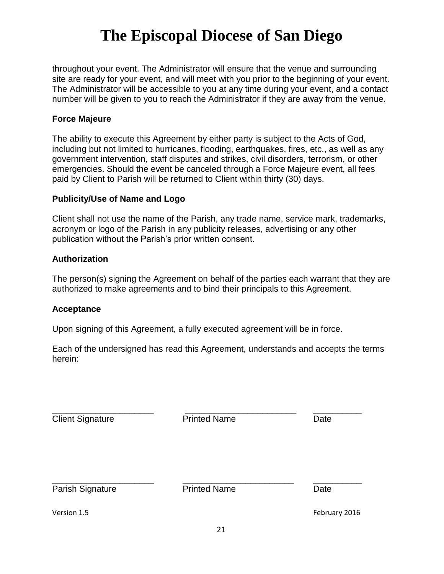throughout your event. The Administrator will ensure that the venue and surrounding site are ready for your event, and will meet with you prior to the beginning of your event. The Administrator will be accessible to you at any time during your event, and a contact number will be given to you to reach the Administrator if they are away from the venue.

#### **Force Majeure**

The ability to execute this Agreement by either party is subject to the Acts of God, including but not limited to hurricanes, flooding, earthquakes, fires, etc., as well as any government intervention, staff disputes and strikes, civil disorders, terrorism, or other emergencies. Should the event be canceled through a Force Majeure event, all fees paid by Client to Parish will be returned to Client within thirty (30) days.

#### **Publicity/Use of Name and Logo**

Client shall not use the name of the Parish, any trade name, service mark, trademarks, acronym or logo of the Parish in any publicity releases, advertising or any other publication without the Parish's prior written consent.

#### **Authorization**

The person(s) signing the Agreement on behalf of the parties each warrant that they are authorized to make agreements and to bind their principals to this Agreement.

#### **Acceptance**

Upon signing of this Agreement, a fully executed agreement will be in force.

Each of the undersigned has read this Agreement, understands and accepts the terms herein:

| <b>Client Signature</b> | <b>Printed Name</b> | Date |  |
|-------------------------|---------------------|------|--|
|                         |                     |      |  |
| Parish Signature        | <b>Printed Name</b> | Date |  |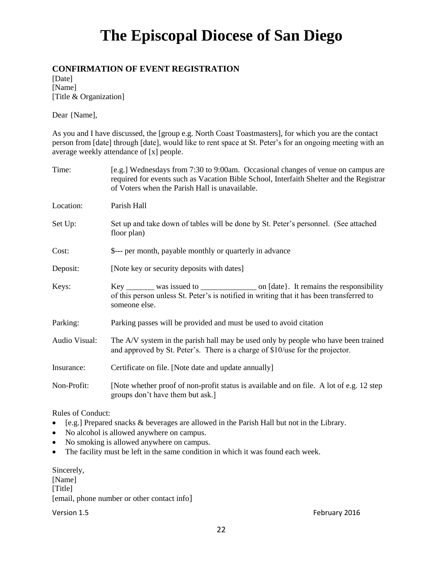#### **CONFIRMATION OF EVENT REGISTRATION**

[Date] [Name] [Title & Organization]

Dear {Name],

As you and I have discussed, the [group e.g. North Coast Toastmasters], for which you are the contact person from [date] through [date], would like to rent space at St. Peter's for an ongoing meeting with an average weekly attendance of [x] people.

| Time:         | [e.g.] Wednesdays from 7:30 to 9:00am. Occasional changes of venue on campus are<br>required for events such as Vacation Bible School, Interfaith Shelter and the Registrar<br>of Voters when the Parish Hall is unavailable. |
|---------------|-------------------------------------------------------------------------------------------------------------------------------------------------------------------------------------------------------------------------------|
| Location:     | Parish Hall                                                                                                                                                                                                                   |
| Set Up:       | Set up and take down of tables will be done by St. Peter's personnel. (See attached<br>floor plan)                                                                                                                            |
| Cost:         | \$--- per month, payable monthly or quarterly in advance                                                                                                                                                                      |
| Deposit:      | [Note key or security deposits with dates]                                                                                                                                                                                    |
| Keys:         | of this person unless St. Peter's is notified in writing that it has been transferred to<br>someone else.                                                                                                                     |
| Parking:      | Parking passes will be provided and must be used to avoid citation                                                                                                                                                            |
| Audio Visual: | The A/V system in the parish hall may be used only by people who have been trained<br>and approved by St. Peter's. There is a charge of \$10/use for the projector.                                                           |
| Insurance:    | Certificate on file. [Note date and update annually]                                                                                                                                                                          |
| Non-Profit:   | [Note whether proof of non-profit status is available and on file. A lot of e.g. 12 step<br>groups don't have them but ask.]                                                                                                  |

Rules of Conduct:

- [e.g.] Prepared snacks & beverages are allowed in the Parish Hall but not in the Library.
- No alcohol is allowed anywhere on campus.
- No smoking is allowed anywhere on campus.
- The facility must be left in the same condition in which it was found each week.

Sincerely, [Name] [Title] [email, phone number or other contact info]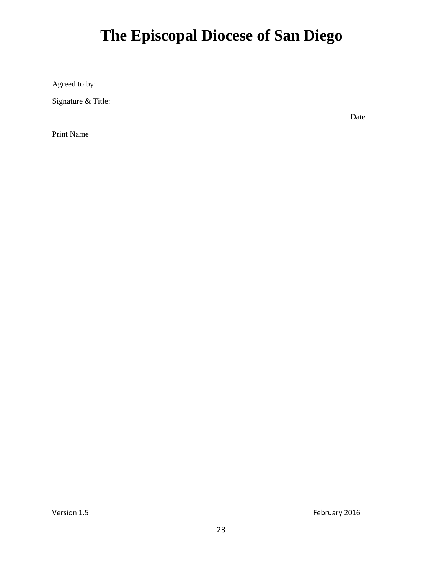Agreed to by:

Signature & Title:

Print Name

Date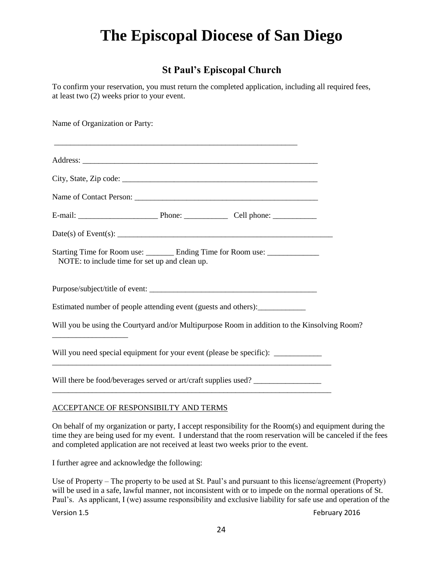### **St Paul's Episcopal Church**

To confirm your reservation, you must return the completed application, including all required fees, at least two (2) weeks prior to your event.

Name of Organization or Party: \_\_\_\_\_\_\_\_\_\_\_\_\_\_\_\_\_\_\_\_\_\_\_\_\_\_\_\_\_\_\_\_\_\_\_\_\_\_\_\_\_\_\_\_\_\_\_\_\_\_\_\_\_\_\_\_\_\_\_\_\_ Address: City, State, Zip code: \_\_\_\_\_\_\_\_\_\_\_\_\_\_\_\_\_\_\_\_\_\_\_\_\_\_\_\_\_\_\_\_\_\_\_\_\_\_\_\_\_\_\_\_\_\_\_\_\_ Name of Contact Person: \_\_\_\_\_\_\_\_\_\_\_\_\_\_\_\_\_\_\_\_\_\_\_\_\_\_\_\_\_\_\_\_\_\_\_\_\_\_\_\_\_\_\_\_\_\_ E-mail: \_\_\_\_\_\_\_\_\_\_\_\_\_\_\_\_\_\_\_\_ Phone: \_\_\_\_\_\_\_\_\_\_\_ Cell phone: \_\_\_\_\_\_\_\_\_\_\_ Date(s) of Event(s): \_\_\_\_\_\_\_\_\_\_\_\_\_\_\_\_\_\_\_\_\_\_\_\_\_\_\_\_\_\_\_\_\_\_\_\_\_\_\_\_\_\_\_\_\_\_\_\_\_\_\_\_\_\_ Starting Time for Room use: Ending Time for Room use: NOTE: to include time for set up and clean up. Purpose/subject/title of event: Estimated number of people attending event (guests and others): \_\_\_\_\_\_\_\_\_\_\_\_\_\_\_\_ Will you be using the Courtyard and/or Multipurpose Room in addition to the Kinsolving Room? \_\_\_\_\_\_\_\_\_\_\_\_\_\_\_\_\_\_\_ Will you need special equipment for your event (please be specific): \_\_\_\_\_\_\_\_\_\_\_ Will there be food/beverages served or art/craft supplies used? \_\_\_\_\_\_\_\_\_\_\_\_\_\_\_\_\_\_\_\_\_\_\_\_\_\_\_\_\_\_\_\_\_\_\_\_\_\_\_\_\_\_\_\_\_\_\_\_\_\_\_\_\_\_\_\_\_\_\_\_\_\_\_\_\_\_\_\_\_\_

#### ACCEPTANCE OF RESPONSIBILTY AND TERMS

On behalf of my organization or party, I accept responsibility for the Room(s) and equipment during the time they are being used for my event. I understand that the room reservation will be canceled if the fees and completed application are not received at least two weeks prior to the event.

I further agree and acknowledge the following:

Use of Property – The property to be used at St. Paul's and pursuant to this license/agreement (Property) will be used in a safe, lawful manner, not inconsistent with or to impede on the normal operations of St. Paul's. As applicant, I (we) assume responsibility and exclusive liability for safe use and operation of the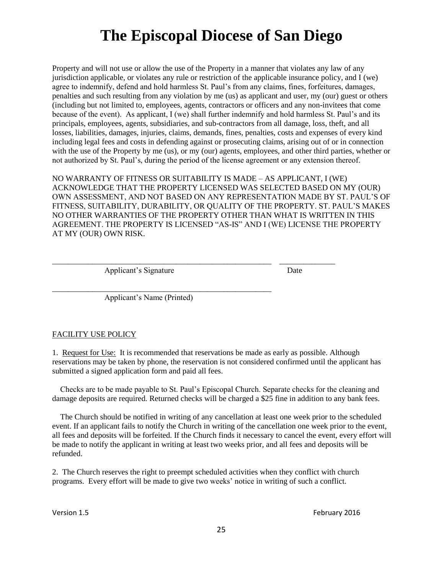Property and will not use or allow the use of the Property in a manner that violates any law of any jurisdiction applicable, or violates any rule or restriction of the applicable insurance policy, and I (we) agree to indemnify, defend and hold harmless St. Paul's from any claims, fines, forfeitures, damages, penalties and such resulting from any violation by me (us) as applicant and user, my (our) guest or others (including but not limited to, employees, agents, contractors or officers and any non-invitees that come because of the event). As applicant, I (we) shall further indemnify and hold harmless St. Paul's and its principals, employees, agents, subsidiaries, and sub-contractors from all damage, loss, theft, and all losses, liabilities, damages, injuries, claims, demands, fines, penalties, costs and expenses of every kind including legal fees and costs in defending against or prosecuting claims, arising out of or in connection with the use of the Property by me (us), or my (our) agents, employees, and other third parties, whether or not authorized by St. Paul's, during the period of the license agreement or any extension thereof.

NO WARRANTY OF FITNESS OR SUITABILITY IS MADE – AS APPLICANT, I (WE) ACKNOWLEDGE THAT THE PROPERTY LICENSED WAS SELECTED BASED ON MY (OUR) OWN ASSESSMENT, AND NOT BASED ON ANY REPRESENTATION MADE BY ST. PAUL'S OF FITNESS, SUITABILITY, DURABILITY, OR QUALITY OF THE PROPERTY. ST. PAUL'S MAKES NO OTHER WARRANTIES OF THE PROPERTY OTHER THAN WHAT IS WRITTEN IN THIS AGREEMENT. THE PROPERTY IS LICENSED "AS-IS" AND I (WE) LICENSE THE PROPERTY AT MY (OUR) OWN RISK.

\_\_\_\_\_\_\_\_\_\_\_\_\_\_\_\_\_\_\_\_\_\_\_\_\_\_\_\_\_\_\_\_\_\_\_\_\_\_\_\_\_\_\_\_\_\_\_\_\_\_\_\_\_\_\_ \_\_\_\_\_\_\_\_\_\_\_\_\_\_

Applicant's Signature Date

Applicant's Name (Printed)

\_\_\_\_\_\_\_\_\_\_\_\_\_\_\_\_\_\_\_\_\_\_\_\_\_\_\_\_\_\_\_\_\_\_\_\_\_\_\_\_\_\_\_\_\_\_\_\_\_\_\_\_\_\_\_

#### FACILITY USE POLICY

1. Request for Use: It is recommended that reservations be made as early as possible. Although reservations may be taken by phone, the reservation is not considered confirmed until the applicant has submitted a signed application form and paid all fees.

 Checks are to be made payable to St. Paul's Episcopal Church. Separate checks for the cleaning and damage deposits are required. Returned checks will be charged a \$25 fine in addition to any bank fees.

 The Church should be notified in writing of any cancellation at least one week prior to the scheduled event. If an applicant fails to notify the Church in writing of the cancellation one week prior to the event, all fees and deposits will be forfeited. If the Church finds it necessary to cancel the event, every effort will be made to notify the applicant in writing at least two weeks prior, and all fees and deposits will be refunded.

2. The Church reserves the right to preempt scheduled activities when they conflict with church programs. Every effort will be made to give two weeks' notice in writing of such a conflict.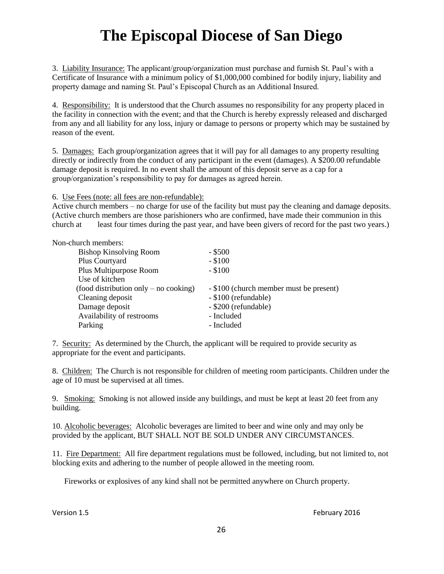3. Liability Insurance: The applicant/group/organization must purchase and furnish St. Paul's with a Certificate of Insurance with a minimum policy of \$1,000,000 combined for bodily injury, liability and property damage and naming St. Paul's Episcopal Church as an Additional Insured.

4. Responsibility: It is understood that the Church assumes no responsibility for any property placed in the facility in connection with the event; and that the Church is hereby expressly released and discharged from any and all liability for any loss, injury or damage to persons or property which may be sustained by reason of the event.

5. Damages: Each group/organization agrees that it will pay for all damages to any property resulting directly or indirectly from the conduct of any participant in the event (damages). A \$200.00 refundable damage deposit is required. In no event shall the amount of this deposit serve as a cap for a group/organization's responsibility to pay for damages as agreed herein.

6. Use Fees (note: all fees are non-refundable):

Active church members – no charge for use of the facility but must pay the cleaning and damage deposits. (Active church members are those parishioners who are confirmed, have made their communion in this church at least four times during the past year, and have been givers of record for the past two years.)

#### Non-church members:

| <b>Bishop Kinsolving Room</b>         | $-$ \$500                               |
|---------------------------------------|-----------------------------------------|
| Plus Courtyard                        | $-$ \$100                               |
| Plus Multipurpose Room                | $-$ \$100                               |
| Use of kitchen                        |                                         |
| (food distribution only – no cooking) | - \$100 (church member must be present) |
| Cleaning deposit                      | - \$100 (refundable)                    |
| Damage deposit                        | - \$200 (refundable)                    |
| Availability of restrooms             | - Included                              |
| Parking                               | - Included                              |

7. Security: As determined by the Church, the applicant will be required to provide security as appropriate for the event and participants.

8. Children: The Church is not responsible for children of meeting room participants. Children under the age of 10 must be supervised at all times.

9. Smoking: Smoking is not allowed inside any buildings, and must be kept at least 20 feet from any building.

10. Alcoholic beverages: Alcoholic beverages are limited to beer and wine only and may only be provided by the applicant, BUT SHALL NOT BE SOLD UNDER ANY CIRCUMSTANCES.

11. Fire Department: All fire department regulations must be followed, including, but not limited to, not blocking exits and adhering to the number of people allowed in the meeting room.

Fireworks or explosives of any kind shall not be permitted anywhere on Church property.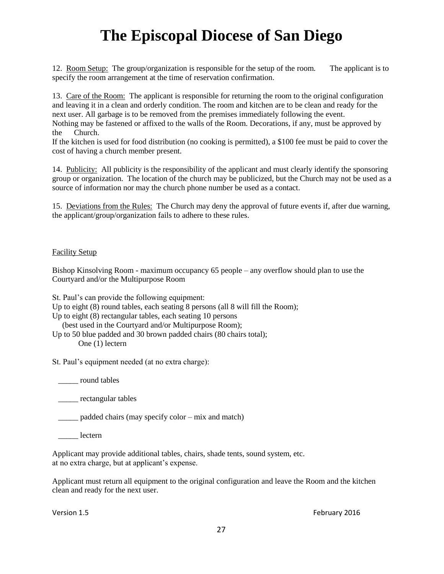12. Room Setup: The group/organization is responsible for the setup of the room. The applicant is to specify the room arrangement at the time of reservation confirmation.

13. Care of the Room: The applicant is responsible for returning the room to the original configuration and leaving it in a clean and orderly condition. The room and kitchen are to be clean and ready for the next user. All garbage is to be removed from the premises immediately following the event. Nothing may be fastened or affixed to the walls of the Room. Decorations, if any, must be approved by the Church.

If the kitchen is used for food distribution (no cooking is permitted), a \$100 fee must be paid to cover the cost of having a church member present.

14. Publicity: All publicity is the responsibility of the applicant and must clearly identify the sponsoring group or organization. The location of the church may be publicized, but the Church may not be used as a source of information nor may the church phone number be used as a contact.

15. Deviations from the Rules: The Church may deny the approval of future events if, after due warning, the applicant/group/organization fails to adhere to these rules.

#### Facility Setup

Bishop Kinsolving Room - maximum occupancy 65 people – any overflow should plan to use the Courtyard and/or the Multipurpose Room

St. Paul's can provide the following equipment:

Up to eight (8) round tables, each seating 8 persons (all 8 will fill the Room);

Up to eight (8) rectangular tables, each seating 10 persons

(best used in the Courtyard and/or Multipurpose Room);

Up to 50 blue padded and 30 brown padded chairs (80 chairs total); One (1) lectern

St. Paul's equipment needed (at no extra charge):

\_\_\_\_\_ round tables

\_\_\_\_\_ rectangular tables

\_\_\_\_\_ padded chairs (may specify color – mix and match)

lectern

Applicant may provide additional tables, chairs, shade tents, sound system, etc. at no extra charge, but at applicant's expense.

Applicant must return all equipment to the original configuration and leave the Room and the kitchen clean and ready for the next user.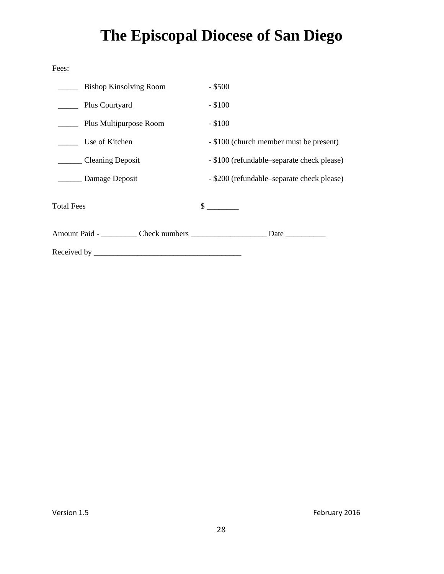| Fees:                         |                                            |
|-------------------------------|--------------------------------------------|
| <b>Bishop Kinsolving Room</b> | $-$ \$500                                  |
| Plus Courtyard                | $-$ \$100                                  |
| Plus Multipurpose Room        | $-$ \$100                                  |
| Use of Kitchen                | - \$100 (church member must be present)    |
| _______ Cleaning Deposit      | - \$100 (refundable-separate check please) |
| Damage Deposit                | - \$200 (refundable-separate check please) |
| <b>Total Fees</b>             | $\frac{\text{S}}{\text{S}}$                |
|                               |                                            |
|                               |                                            |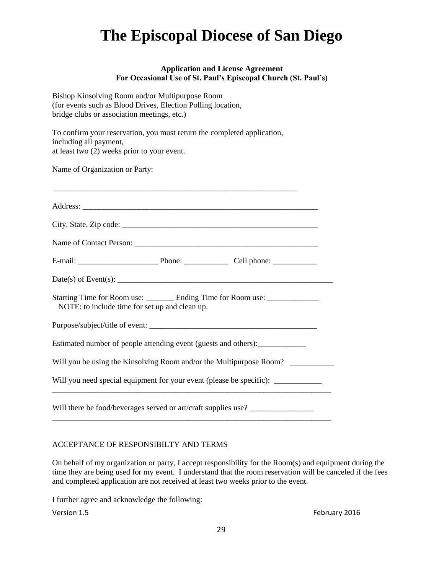#### **Application and License Agreement For Occasional Use of St. Paul's Episcopal Church (St. Paul's)**

Bishop Kinsolving Room and/or Multipurpose Room (for events such as Blood Drives, Election Polling location, bridge clubs or association meetings, etc.)

To confirm your reservation, you must return the completed application, including all payment, at least two (2) weeks prior to your event.

Name of Organization or Party:

| NOTE: to include time for set up and clean up.                                   |  | Starting Time for Room use: ________ Ending Time for Room use: ________________ |  |
|----------------------------------------------------------------------------------|--|---------------------------------------------------------------------------------|--|
|                                                                                  |  |                                                                                 |  |
| Estimated number of people attending event (guests and others): ________________ |  |                                                                                 |  |
| Will you be using the Kinsolving Room and/or the Multipurpose Room?              |  |                                                                                 |  |
| Will you need special equipment for your event (please be specific): ___________ |  |                                                                                 |  |
|                                                                                  |  | Will there be food/beverages served or art/craft supplies use?                  |  |

#### ACCEPTANCE OF RESPONSIBILTY AND TERMS

On behalf of my organization or party, I accept responsibility for the Room(s) and equipment during the time they are being used for my event. I understand that the room reservation will be canceled if the fees and completed application are not received at least two weeks prior to the event.

I further agree and acknowledge the following: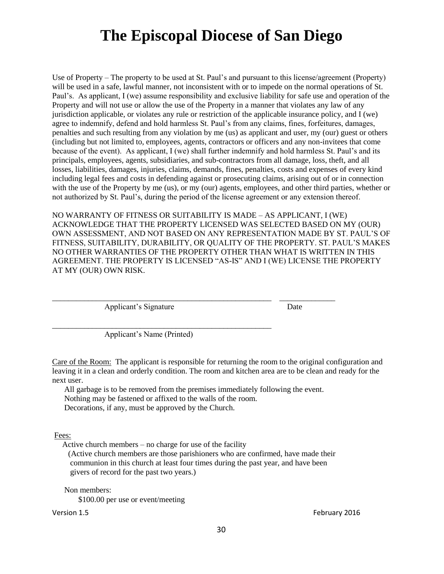Use of Property – The property to be used at St. Paul's and pursuant to this license/agreement (Property) will be used in a safe, lawful manner, not inconsistent with or to impede on the normal operations of St. Paul's. As applicant, I (we) assume responsibility and exclusive liability for safe use and operation of the Property and will not use or allow the use of the Property in a manner that violates any law of any jurisdiction applicable, or violates any rule or restriction of the applicable insurance policy, and I (we) agree to indemnify, defend and hold harmless St. Paul's from any claims, fines, forfeitures, damages, penalties and such resulting from any violation by me (us) as applicant and user, my (our) guest or others (including but not limited to, employees, agents, contractors or officers and any non-invitees that come because of the event). As applicant, I (we) shall further indemnify and hold harmless St. Paul's and its principals, employees, agents, subsidiaries, and sub-contractors from all damage, loss, theft, and all losses, liabilities, damages, injuries, claims, demands, fines, penalties, costs and expenses of every kind including legal fees and costs in defending against or prosecuting claims, arising out of or in connection with the use of the Property by me (us), or my (our) agents, employees, and other third parties, whether or not authorized by St. Paul's, during the period of the license agreement or any extension thereof.

NO WARRANTY OF FITNESS OR SUITABILITY IS MADE – AS APPLICANT, I (WE) ACKNOWLEDGE THAT THE PROPERTY LICENSED WAS SELECTED BASED ON MY (OUR) OWN ASSESSMENT, AND NOT BASED ON ANY REPRESENTATION MADE BY ST. PAUL'S OF FITNESS, SUITABILITY, DURABILITY, OR QUALITY OF THE PROPERTY. ST. PAUL'S MAKES NO OTHER WARRANTIES OF THE PROPERTY OTHER THAN WHAT IS WRITTEN IN THIS AGREEMENT. THE PROPERTY IS LICENSED "AS-IS" AND I (WE) LICENSE THE PROPERTY AT MY (OUR) OWN RISK.

Applicant's Signature Date

Applicant's Name (Printed)

\_\_\_\_\_\_\_\_\_\_\_\_\_\_\_\_\_\_\_\_\_\_\_\_\_\_\_\_\_\_\_\_\_\_\_\_\_\_\_\_\_\_\_\_\_\_\_\_\_\_\_\_\_\_\_

Care of the Room: The applicant is responsible for returning the room to the original configuration and leaving it in a clean and orderly condition. The room and kitchen area are to be clean and ready for the next user.

 All garbage is to be removed from the premises immediately following the event. Nothing may be fastened or affixed to the walls of the room. Decorations, if any, must be approved by the Church.

\_\_\_\_\_\_\_\_\_\_\_\_\_\_\_\_\_\_\_\_\_\_\_\_\_\_\_\_\_\_\_\_\_\_\_\_\_\_\_\_\_\_\_\_\_\_\_\_\_\_\_\_\_\_\_ \_\_\_\_\_\_\_\_\_\_\_\_\_\_

Fees:

Active church members – no charge for use of the facility

 (Active church members are those parishioners who are confirmed, have made their communion in this church at least four times during the past year, and have been givers of record for the past two years.)

 Non members: \$100.00 per use or event/meeting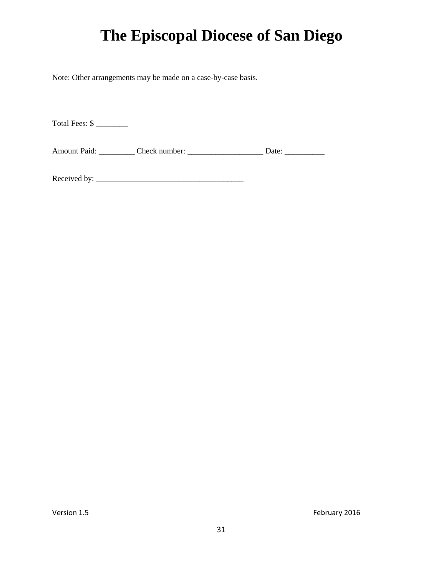Note: Other arrangements may be made on a case-by-case basis.

Total Fees: \$

Amount Paid: \_\_\_\_\_\_\_\_\_\_ Check number: \_\_\_\_\_\_\_\_\_\_\_\_\_\_\_\_\_\_\_\_\_\_ Date: \_\_\_\_\_\_\_\_\_\_\_\_\_

Received by: \_\_\_\_\_\_\_\_\_\_\_\_\_\_\_\_\_\_\_\_\_\_\_\_\_\_\_\_\_\_\_\_\_\_\_\_\_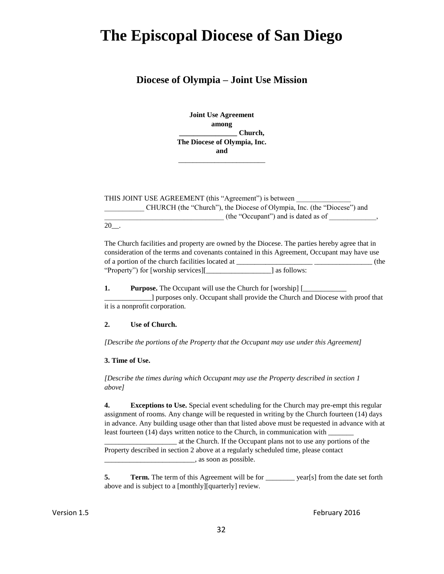#### **Diocese of Olympia – Joint Use Mission**

**Joint Use Agreement among \_\_\_\_\_\_\_\_\_\_\_\_\_\_\_\_ Church, The Diocese of Olympia, Inc. and**

\_\_\_\_\_\_\_\_\_\_\_\_\_\_\_\_\_\_\_\_\_\_\_\_

THIS JOINT USE AGREEMENT (this "Agreement") is between \_\_\_\_\_\_\_\_\_\_\_ CHURCH (the "Church"), the Diocese of Olympia, Inc. (the "Diocese") and \_\_\_\_\_\_\_\_\_\_\_\_\_\_\_\_\_\_\_\_\_\_\_\_\_\_\_\_\_\_\_\_\_ (the "Occupant") and is dated as of \_\_\_\_\_\_\_\_\_\_\_\_\_,

20\_\_.

The Church facilities and property are owned by the Diocese. The parties hereby agree that in consideration of the terms and covenants contained in this Agreement, Occupant may have use of a portion of the church facilities located at \_\_\_\_\_\_\_\_\_\_\_\_\_\_\_\_\_\_\_\_\_ \_\_\_\_\_\_\_\_\_\_\_\_\_\_\_\_ (the "Property") for [worship services][\_\_\_\_\_\_\_\_\_\_\_\_\_\_\_\_\_\_] as follows:

**1.** Purpose. The Occupant will use the Church for [worship] [

\_\_\_\_\_\_\_\_\_\_\_\_\_] purposes only. Occupant shall provide the Church and Diocese with proof that it is a nonprofit corporation.

#### **2. Use of Church.**

*[Describe the portions of the Property that the Occupant may use under this Agreement]*

#### **3. Time of Use.**

*[Describe the times during which Occupant may use the Property described in section 1 above]*

**4. Exceptions to Use.** Special event scheduling for the Church may pre-empt this regular assignment of rooms. Any change will be requested in writing by the Church fourteen (14) days in advance. Any building usage other than that listed above must be requested in advance with at least fourteen (14) days written notice to the Church, in communication with

\_\_\_\_\_\_\_\_\_\_\_\_\_\_\_\_\_\_\_\_ at the Church. If the Occupant plans not to use any portions of the Property described in section 2 above at a regularly scheduled time, please contact \_\_\_\_\_\_\_\_\_\_\_\_\_\_\_\_\_\_\_\_\_\_\_\_\_, as soon as possible.

**5. Term.** The term of this Agreement will be for <u>vear[s]</u> from the date set forth above and is subject to a [monthly][quarterly] review.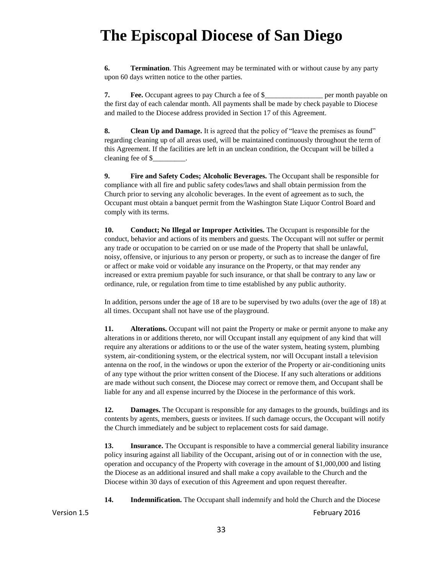**6. Termination**. This Agreement may be terminated with or without cause by any party upon 60 days written notice to the other parties.

**7.** Free. Occupant agrees to pay Church a fee of \$\_\_\_\_\_\_\_\_\_\_\_\_\_\_\_\_\_\_\_\_\_\_ per month payable on the first day of each calendar month. All payments shall be made by check payable to Diocese and mailed to the Diocese address provided in Section 17 of this Agreement.

**8. Clean Up and Damage.** It is agreed that the policy of "leave the premises as found" regarding cleaning up of all areas used, will be maintained continuously throughout the term of this Agreement. If the facilities are left in an unclean condition, the Occupant will be billed a cleaning fee of \$\_\_\_\_\_\_\_\_\_.

**9. Fire and Safety Codes; Alcoholic Beverages.** The Occupant shall be responsible for compliance with all fire and public safety codes/laws and shall obtain permission from the Church prior to serving any alcoholic beverages. In the event of agreement as to such, the Occupant must obtain a banquet permit from the Washington State Liquor Control Board and comply with its terms.

**10. Conduct; No Illegal or Improper Activities.** The Occupant is responsible for the conduct, behavior and actions of its members and guests. The Occupant will not suffer or permit any trade or occupation to be carried on or use made of the Property that shall be unlawful, noisy, offensive, or injurious to any person or property, or such as to increase the danger of fire or affect or make void or voidable any insurance on the Property, or that may render any increased or extra premium payable for such insurance, or that shall be contrary to any law or ordinance, rule, or regulation from time to time established by any public authority.

In addition, persons under the age of 18 are to be supervised by two adults (over the age of 18) at all times. Occupant shall not have use of the playground.

**11.** Alterations. Occupant will not paint the Property or make or permit anyone to make any alterations in or additions thereto, nor will Occupant install any equipment of any kind that will require any alterations or additions to or the use of the water system, heating system, plumbing system, air-conditioning system, or the electrical system, nor will Occupant install a television antenna on the roof, in the windows or upon the exterior of the Property or air-conditioning units of any type without the prior written consent of the Diocese. If any such alterations or additions are made without such consent, the Diocese may correct or remove them, and Occupant shall be liable for any and all expense incurred by the Diocese in the performance of this work.

**12. Damages.** The Occupant is responsible for any damages to the grounds, buildings and its contents by agents, members, guests or invitees. If such damage occurs, the Occupant will notify the Church immediately and be subject to replacement costs for said damage.

**13.** Insurance. The Occupant is responsible to have a commercial general liability insurance policy insuring against all liability of the Occupant, arising out of or in connection with the use, operation and occupancy of the Property with coverage in the amount of \$1,000,000 and listing the Diocese as an additional insured and shall make a copy available to the Church and the Diocese within 30 days of execution of this Agreement and upon request thereafter.

**14. Indemnification.** The Occupant shall indemnify and hold the Church and the Diocese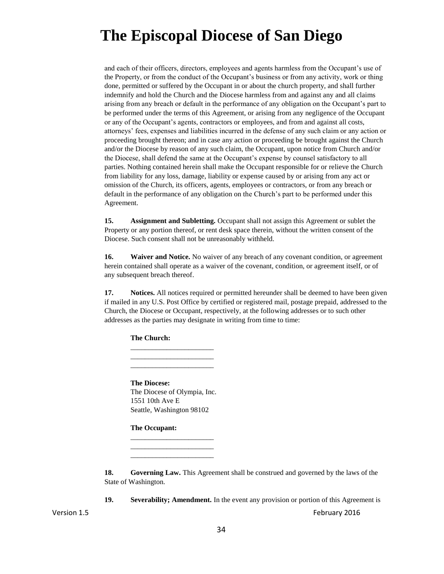and each of their officers, directors, employees and agents harmless from the Occupant's use of the Property, or from the conduct of the Occupant's business or from any activity, work or thing done, permitted or suffered by the Occupant in or about the church property, and shall further indemnify and hold the Church and the Diocese harmless from and against any and all claims arising from any breach or default in the performance of any obligation on the Occupant's part to be performed under the terms of this Agreement, or arising from any negligence of the Occupant or any of the Occupant's agents, contractors or employees, and from and against all costs, attorneys' fees, expenses and liabilities incurred in the defense of any such claim or any action or proceeding brought thereon; and in case any action or proceeding be brought against the Church and/or the Diocese by reason of any such claim, the Occupant, upon notice from Church and/or the Diocese, shall defend the same at the Occupant's expense by counsel satisfactory to all parties. Nothing contained herein shall make the Occupant responsible for or relieve the Church from liability for any loss, damage, liability or expense caused by or arising from any act or omission of the Church, its officers, agents, employees or contractors, or from any breach or default in the performance of any obligation on the Church's part to be performed under this Agreement.

**15.** Assignment and Subletting. Occupant shall not assign this Agreement or sublet the Property or any portion thereof, or rent desk space therein, without the written consent of the Diocese. Such consent shall not be unreasonably withheld.

**16. Waiver and Notice.** No waiver of any breach of any covenant condition, or agreement herein contained shall operate as a waiver of the covenant, condition, or agreement itself, or of any subsequent breach thereof.

**17. Notices.** All notices required or permitted hereunder shall be deemed to have been given if mailed in any U.S. Post Office by certified or registered mail, postage prepaid, addressed to the Church, the Diocese or Occupant, respectively, at the following addresses or to such other addresses as the parties may designate in writing from time to time:

**The Church:**

**The Diocese:** The Diocese of Olympia, Inc. 1551 10th Ave E Seattle, Washington 98102

\_\_\_\_\_\_\_\_\_\_\_\_\_\_\_\_\_\_\_\_\_\_\_ \_\_\_\_\_\_\_\_\_\_\_\_\_\_\_\_\_\_\_\_\_\_\_ \_\_\_\_\_\_\_\_\_\_\_\_\_\_\_\_\_\_\_\_\_\_\_

\_\_\_\_\_\_\_\_\_\_\_\_\_\_\_\_\_\_\_\_\_\_\_ \_\_\_\_\_\_\_\_\_\_\_\_\_\_\_\_\_\_\_\_\_\_\_ \_\_\_\_\_\_\_\_\_\_\_\_\_\_\_\_\_\_\_\_\_\_\_

**The Occupant:**

**18.** Governing Law. This Agreement shall be construed and governed by the laws of the State of Washington.

**19. Severability; Amendment.** In the event any provision or portion of this Agreement is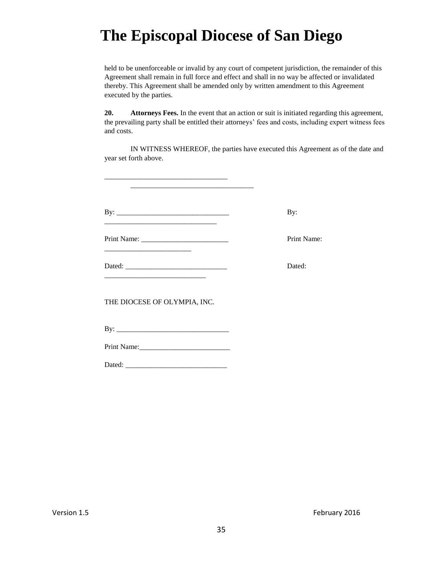held to be unenforceable or invalid by any court of competent jurisdiction, the remainder of this Agreement shall remain in full force and effect and shall in no way be affected or invalidated thereby. This Agreement shall be amended only by written amendment to this Agreement executed by the parties.

**20. Attorneys Fees.** In the event that an action or suit is initiated regarding this agreement, the prevailing party shall be entitled their attorneys' fees and costs, including expert witness fees and costs.

IN WITNESS WHEREOF, the parties have executed this Agreement as of the date and year set forth above.

| By:         |
|-------------|
| Print Name: |
| Dated:      |

THE DIOCESE OF OLYMPIA, INC.

\_\_\_\_\_\_\_\_\_\_\_\_\_\_\_\_\_\_\_\_\_\_\_\_\_\_\_\_\_\_\_\_\_\_

By: \_\_\_\_\_\_\_\_\_\_\_\_\_\_\_\_\_\_\_\_\_\_\_\_\_\_\_\_\_\_\_

Print Name:\_\_\_\_\_\_\_\_\_\_\_\_\_\_\_\_\_\_\_\_\_\_\_\_\_

Dated: \_\_\_\_\_\_\_\_\_\_\_\_\_\_\_\_\_\_\_\_\_\_\_\_\_\_\_\_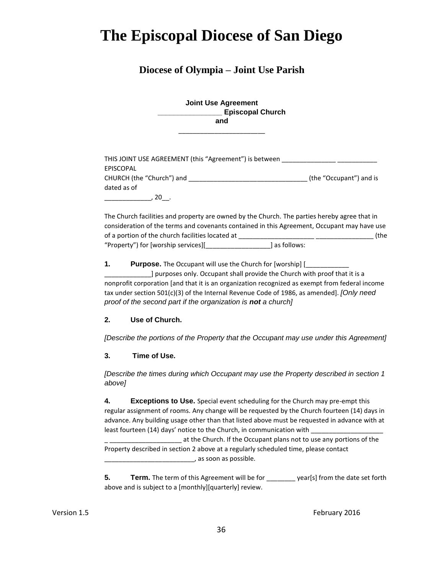#### **Diocese of Olympia – Joint Use Parish**

| <b>Joint Use Agreement</b> |
|----------------------------|
| <b>Episcopal Church</b>    |
| and                        |

\_\_\_\_\_\_\_\_\_\_\_\_\_\_\_\_\_\_\_\_\_\_\_\_

| THIS JOINT USE AGREEMENT (this "Agreement") is between |                         |
|--------------------------------------------------------|-------------------------|
| EPISCOPAL                                              |                         |
| CHURCH (the "Church") and                              | (the "Occupant") and is |
| dated as of                                            |                         |
| 20                                                     |                         |

The Church facilities and property are owned by the Church. The parties hereby agree that in consideration of the terms and covenants contained in this Agreement, Occupant may have use of a portion of the church facilities located at \_\_\_\_\_\_\_\_\_\_\_\_\_\_\_\_\_\_\_\_\_ \_\_\_\_\_\_\_\_\_\_\_\_\_\_\_\_ (the "Property") for [worship services][\_\_\_\_\_\_\_\_\_\_\_\_\_\_\_\_\_\_] as follows:

**1.** Purpose. The Occupant will use the Church for [worship] [

\_\_\_\_\_\_\_\_\_\_\_\_\_] purposes only. Occupant shall provide the Church with proof that it is a nonprofit corporation [and that it is an organization recognized as exempt from federal income tax under section 501(c)(3) of the Internal Revenue Code of 1986, as amended]. *[Only need proof of the second part if the organization is not a church]*

#### **2. Use of Church.**

*[Describe the portions of the Property that the Occupant may use under this Agreement]*

#### **3. Time of Use.**

*[Describe the times during which Occupant may use the Property described in section 1 above]*

**4. Exceptions to Use.** Special event scheduling for the Church may pre-empt this regular assignment of rooms. Any change will be requested by the Church fourteen (14) days in advance. Any building usage other than that listed above must be requested in advance with at least fourteen (14) days' notice to the Church, in communication with \_\_\_\_\_\_\_\_\_\_

at the Church. If the Occupant plans not to use any portions of the Property described in section 2 above at a regularly scheduled time, please contact \_\_\_\_\_\_\_\_\_\_\_\_\_\_\_\_\_\_\_\_\_\_\_\_\_, as soon as possible.

**5. Term.** The term of this Agreement will be for <u>second year[s]</u> from the date set forth above and is subject to a [monthly][quarterly] review.

Version 1.5 **February 2016 February 2016**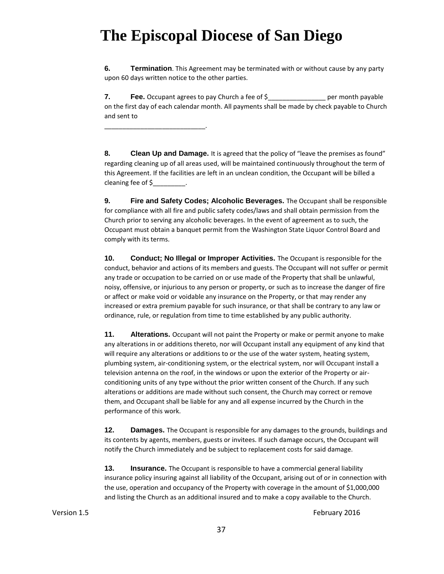\_\_\_\_\_\_\_\_\_\_\_\_\_\_\_\_\_\_\_\_\_\_\_\_\_\_\_\_.

**6. Termination**. This Agreement may be terminated with or without cause by any party upon 60 days written notice to the other parties.

**7. Fee.** Occupant agrees to pay Church a fee of \$\_\_\_\_\_\_\_\_\_\_\_\_\_\_\_\_ per month payable on the first day of each calendar month. All payments shall be made by check payable to Church and sent to

**8. Clean Up and Damage.** It is agreed that the policy of "leave the premises as found" regarding cleaning up of all areas used, will be maintained continuously throughout the term of this Agreement. If the facilities are left in an unclean condition, the Occupant will be billed a cleaning fee of \$

**9. Fire and Safety Codes; Alcoholic Beverages.** The Occupant shall be responsible for compliance with all fire and public safety codes/laws and shall obtain permission from the Church prior to serving any alcoholic beverages. In the event of agreement as to such, the Occupant must obtain a banquet permit from the Washington State Liquor Control Board and comply with its terms.

**10. Conduct; No Illegal or Improper Activities.** The Occupant is responsible for the conduct, behavior and actions of its members and guests. The Occupant will not suffer or permit any trade or occupation to be carried on or use made of the Property that shall be unlawful, noisy, offensive, or injurious to any person or property, or such as to increase the danger of fire or affect or make void or voidable any insurance on the Property, or that may render any increased or extra premium payable for such insurance, or that shall be contrary to any law or ordinance, rule, or regulation from time to time established by any public authority.

**11.** Alterations. Occupant will not paint the Property or make or permit anyone to make any alterations in or additions thereto, nor will Occupant install any equipment of any kind that will require any alterations or additions to or the use of the water system, heating system, plumbing system, air-conditioning system, or the electrical system, nor will Occupant install a television antenna on the roof, in the windows or upon the exterior of the Property or airconditioning units of any type without the prior written consent of the Church. If any such alterations or additions are made without such consent, the Church may correct or remove them, and Occupant shall be liable for any and all expense incurred by the Church in the performance of this work.

**12. Damages.** The Occupant is responsible for any damages to the grounds, buildings and its contents by agents, members, guests or invitees. If such damage occurs, the Occupant will notify the Church immediately and be subject to replacement costs for said damage.

**13. Insurance.** The Occupant is responsible to have a commercial general liability insurance policy insuring against all liability of the Occupant, arising out of or in connection with the use, operation and occupancy of the Property with coverage in the amount of \$1,000,000 and listing the Church as an additional insured and to make a copy available to the Church.

Version 1.5 **February 2016 February 2016**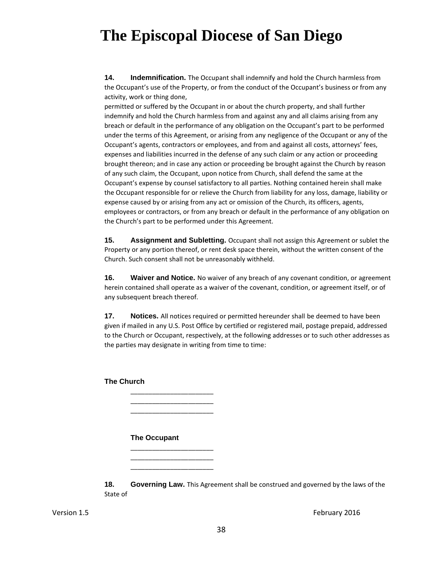**14. Indemnification.** The Occupant shall indemnify and hold the Church harmless from the Occupant's use of the Property, or from the conduct of the Occupant's business or from any activity, work or thing done,

permitted or suffered by the Occupant in or about the church property, and shall further indemnify and hold the Church harmless from and against any and all claims arising from any breach or default in the performance of any obligation on the Occupant's part to be performed under the terms of this Agreement, or arising from any negligence of the Occupant or any of the Occupant's agents, contractors or employees, and from and against all costs, attorneys' fees, expenses and liabilities incurred in the defense of any such claim or any action or proceeding brought thereon; and in case any action or proceeding be brought against the Church by reason of any such claim, the Occupant, upon notice from Church, shall defend the same at the Occupant's expense by counsel satisfactory to all parties. Nothing contained herein shall make the Occupant responsible for or relieve the Church from liability for any loss, damage, liability or expense caused by or arising from any act or omission of the Church, its officers, agents, employees or contractors, or from any breach or default in the performance of any obligation on the Church's part to be performed under this Agreement.

**15. Assignment and Subletting.** Occupant shall not assign this Agreement or sublet the Property or any portion thereof, or rent desk space therein, without the written consent of the Church. Such consent shall not be unreasonably withheld.

**16. Waiver and Notice.** No waiver of any breach of any covenant condition, or agreement herein contained shall operate as a waiver of the covenant, condition, or agreement itself, or of any subsequent breach thereof.

**17. Notices.** All notices required or permitted hereunder shall be deemed to have been given if mailed in any U.S. Post Office by certified or registered mail, postage prepaid, addressed to the Church or Occupant, respectively, at the following addresses or to such other addresses as the parties may designate in writing from time to time:

**The Church**

#### **The Occupant**

\_\_\_\_\_\_\_\_\_\_\_\_\_\_\_\_\_\_\_\_\_\_\_ \_\_\_\_\_\_\_\_\_\_\_\_\_\_\_\_\_\_\_\_\_\_\_ \_\_\_\_\_\_\_\_\_\_\_\_\_\_\_\_\_\_\_\_\_\_\_

\_\_\_\_\_\_\_\_\_\_\_\_\_\_\_\_\_\_\_\_\_\_\_ \_\_\_\_\_\_\_\_\_\_\_\_\_\_\_\_\_\_\_\_\_\_\_ \_\_\_\_\_\_\_\_\_\_\_\_\_\_\_\_\_\_\_\_\_\_\_

**18.** Governing Law. This Agreement shall be construed and governed by the laws of the State of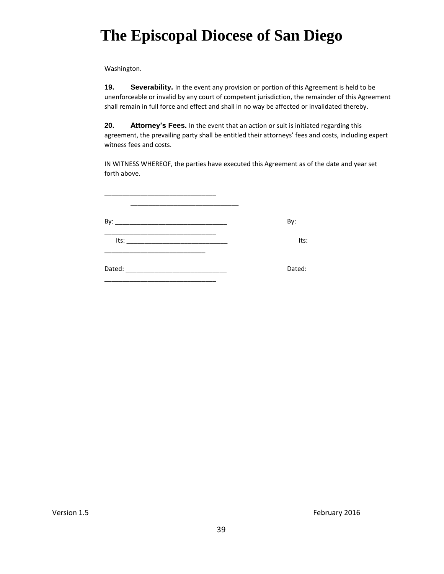Washington.

**19. Severability.** In the event any provision or portion of this Agreement is held to be unenforceable or invalid by any court of competent jurisdiction, the remainder of this Agreement shall remain in full force and effect and shall in no way be affected or invalidated thereby.

**20. Attorney's Fees.** In the event that an action or suit is initiated regarding this agreement, the prevailing party shall be entitled their attorneys' fees and costs, including expert witness fees and costs.

IN WITNESS WHEREOF, the parties have executed this Agreement as of the date and year set forth above.

|      | By:    |
|------|--------|
| Its: | Its:   |
|      | Dated: |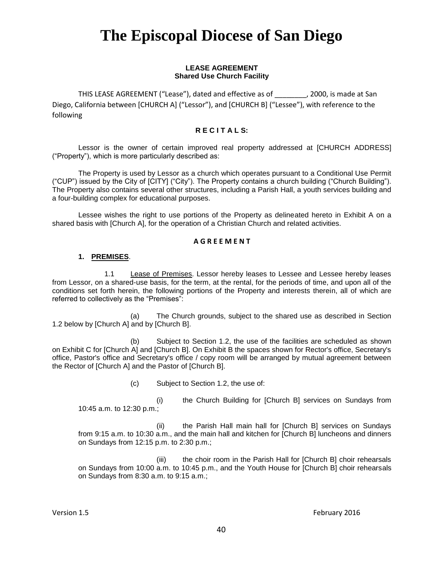#### **LEASE AGREEMENT Shared Use Church Facility**

THIS LEASE AGREEMENT ("Lease"), dated and effective as of \_\_\_\_\_\_\_\_, 2000, is made at San Diego, California between [CHURCH A] ("Lessor"), and [CHURCH B] ("Lessee"), with reference to the following

#### **R E C I T A L S:**

Lessor is the owner of certain improved real property addressed at [CHURCH ADDRESS] ("Property"), which is more particularly described as:

The Property is used by Lessor as a church which operates pursuant to a Conditional Use Permit ("CUP") issued by the City of [CITY] ("City"). The Property contains a church building ("Church Building"). The Property also contains several other structures, including a Parish Hall, a youth services building and a four-building complex for educational purposes.

Lessee wishes the right to use portions of the Property as delineated hereto in Exhibit A on a shared basis with [Church A], for the operation of a Christian Church and related activities.

#### **A G R E E M E N T**

#### **1. PREMISES**.

1.1 Lease of Premises. Lessor hereby leases to Lessee and Lessee hereby leases from Lessor, on a shared-use basis, for the term, at the rental, for the periods of time, and upon all of the conditions set forth herein, the following portions of the Property and interests therein, all of which are referred to collectively as the "Premises":

(a) The Church grounds, subject to the shared use as described in Section 1.2 below by [Church A] and by [Church B].

(b) Subject to Section 1.2, the use of the facilities are scheduled as shown on Exhibit C for [Church A] and [Church B]. On Exhibit B the spaces shown for Rector's office, Secretary's office, Pastor's office and Secretary's office / copy room will be arranged by mutual agreement between the Rector of [Church A] and the Pastor of [Church B].

(c) Subject to Section 1.2, the use of:

(i) the Church Building for [Church B] services on Sundays from 10:45 a.m. to 12:30 p.m.;

(ii) the Parish Hall main hall for [Church B] services on Sundays from 9:15 a.m. to 10:30 a.m., and the main hall and kitchen for [Church B] luncheons and dinners on Sundays from 12:15 p.m. to 2:30 p.m.;

(iii) the choir room in the Parish Hall for [Church B] choir rehearsals on Sundays from 10:00 a.m. to 10:45 p.m., and the Youth House for [Church B] choir rehearsals on Sundays from 8:30 a.m. to 9:15 a.m.;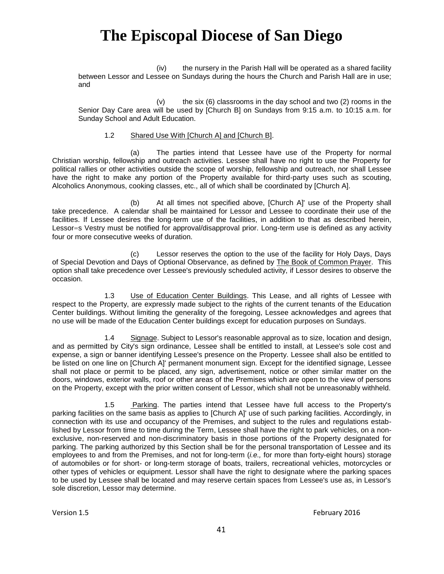(iv) the nursery in the Parish Hall will be operated as a shared facility between Lessor and Lessee on Sundays during the hours the Church and Parish Hall are in use; and

 $(v)$  the six  $(6)$  classrooms in the day school and two  $(2)$  rooms in the Senior Day Care area will be used by [Church B] on Sundays from 9:15 a.m. to 10:15 a.m. for Sunday School and Adult Education.

#### 1.2 Shared Use With [Church A] and [Church B].

(a) The parties intend that Lessee have use of the Property for normal Christian worship, fellowship and outreach activities. Lessee shall have no right to use the Property for political rallies or other activities outside the scope of worship, fellowship and outreach, nor shall Lessee have the right to make any portion of the Property available for third-party uses such as scouting, Alcoholics Anonymous, cooking classes, etc., all of which shall be coordinated by [Church A].

(b) At all times not specified above, [Church A]' use of the Property shall take precedence. A calendar shall be maintained for Lessor and Lessee to coordinate their use of the facilities. If Lessee desires the long-term use of the facilities, in addition to that as described herein, Lessor=s Vestry must be notified for approval/disapproval prior. Long-term use is defined as any activity four or more consecutive weeks of duration.

(c) Lessor reserves the option to the use of the facility for Holy Days, Days of Special Devotion and Days of Optional Observance, as defined by The Book of Common Prayer. This option shall take precedence over Lessee's previously scheduled activity, if Lessor desires to observe the occasion.

1.3 Use of Education Center Buildings. This Lease, and all rights of Lessee with respect to the Property, are expressly made subject to the rights of the current tenants of the Education Center buildings. Without limiting the generality of the foregoing, Lessee acknowledges and agrees that no use will be made of the Education Center buildings except for education purposes on Sundays.

1.4 Signage. Subject to Lessor's reasonable approval as to size, location and design, and as permitted by City's sign ordinance, Lessee shall be entitled to install, at Lessee's sole cost and expense, a sign or banner identifying Lessee's presence on the Property. Lessee shall also be entitled to be listed on one line on [Church A]' permanent monument sign. Except for the identified signage, Lessee shall not place or permit to be placed, any sign, advertisement, notice or other similar matter on the doors, windows, exterior walls, roof or other areas of the Premises which are open to the view of persons on the Property, except with the prior written consent of Lessor, which shall not be unreasonably withheld.

1.5 Parking. The parties intend that Lessee have full access to the Property's parking facilities on the same basis as applies to [Church A]' use of such parking facilities. Accordingly, in connection with its use and occupancy of the Premises, and subject to the rules and regulations established by Lessor from time to time during the Term, Lessee shall have the right to park vehicles, on a nonexclusive, non-reserved and non-discriminatory basis in those portions of the Property designated for parking. The parking authorized by this Section shall be for the personal transportation of Lessee and its employees to and from the Premises, and not for long-term (*i.e.,* for more than forty-eight hours) storage of automobiles or for short- or long-term storage of boats, trailers, recreational vehicles, motorcycles or other types of vehicles or equipment. Lessor shall have the right to designate where the parking spaces to be used by Lessee shall be located and may reserve certain spaces from Lessee's use as, in Lessor's sole discretion, Lessor may determine.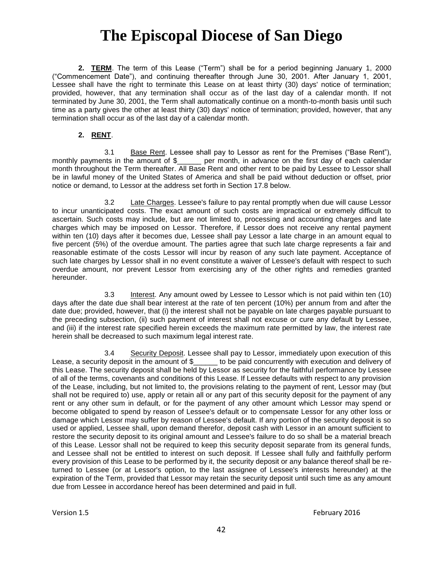**2. TERM**. The term of this Lease ("Term") shall be for a period beginning January 1, 2000 ("Commencement Date"), and continuing thereafter through June 30, 2001. After January 1, 2001, Lessee shall have the right to terminate this Lease on at least thirty (30) days' notice of termination; provided, however, that any termination shall occur as of the last day of a calendar month. If not terminated by June 30, 2001, the Term shall automatically continue on a month-to-month basis until such time as a party gives the other at least thirty (30) days' notice of termination; provided, however, that any termination shall occur as of the last day of a calendar month.

#### **2. RENT**.

3.1 Base Rent. Lessee shall pay to Lessor as rent for the Premises ("Base Rent"), monthly payments in the amount of \$ per month, in advance on the first day of each calendar month throughout the Term thereafter. All Base Rent and other rent to be paid by Lessee to Lessor shall be in lawful money of the United States of America and shall be paid without deduction or offset, prior notice or demand, to Lessor at the address set forth in Section 17.8 below.

3.2 Late Charges. Lessee's failure to pay rental promptly when due will cause Lessor to incur unanticipated costs. The exact amount of such costs are impractical or extremely difficult to ascertain. Such costs may include, but are not limited to, processing and accounting charges and late charges which may be imposed on Lessor. Therefore, if Lessor does not receive any rental payment within ten (10) days after it becomes due, Lessee shall pay Lessor a late charge in an amount equal to five percent (5%) of the overdue amount. The parties agree that such late charge represents a fair and reasonable estimate of the costs Lessor will incur by reason of any such late payment. Acceptance of such late charges by Lessor shall in no event constitute a waiver of Lessee's default with respect to such overdue amount, nor prevent Lessor from exercising any of the other rights and remedies granted hereunder.

3.3 Interest. Any amount owed by Lessee to Lessor which is not paid within ten (10) days after the date due shall bear interest at the rate of ten percent (10%) per annum from and after the date due; provided, however, that (i) the interest shall not be payable on late charges payable pursuant to the preceding subsection, (ii) such payment of interest shall not excuse or cure any default by Lessee, and (iii) if the interest rate specified herein exceeds the maximum rate permitted by law, the interest rate herein shall be decreased to such maximum legal interest rate.

3.4 Security Deposit. Lessee shall pay to Lessor, immediately upon execution of this Lease, a security deposit in the amount of \$\_\_\_\_\_\_ to be paid concurrently with execution and delivery of this Lease. The security deposit shall be held by Lessor as security for the faithful performance by Lessee of all of the terms, covenants and conditions of this Lease. If Lessee defaults with respect to any provision of the Lease, including, but not limited to, the provisions relating to the payment of rent, Lessor may (but shall not be required to) use, apply or retain all or any part of this security deposit for the payment of any rent or any other sum in default, or for the payment of any other amount which Lessor may spend or become obligated to spend by reason of Lessee's default or to compensate Lessor for any other loss or damage which Lessor may suffer by reason of Lessee's default. If any portion of the security deposit is so used or applied, Lessee shall, upon demand therefor, deposit cash with Lessor in an amount sufficient to restore the security deposit to its original amount and Lessee's failure to do so shall be a material breach of this Lease. Lessor shall not be required to keep this security deposit separate from its general funds, and Lessee shall not be entitled to interest on such deposit. If Lessee shall fully and faithfully perform every provision of this Lease to be performed by it, the security deposit or any balance thereof shall be returned to Lessee (or at Lessor's option, to the last assignee of Lessee's interests hereunder) at the expiration of the Term, provided that Lessor may retain the security deposit until such time as any amount due from Lessee in accordance hereof has been determined and paid in full.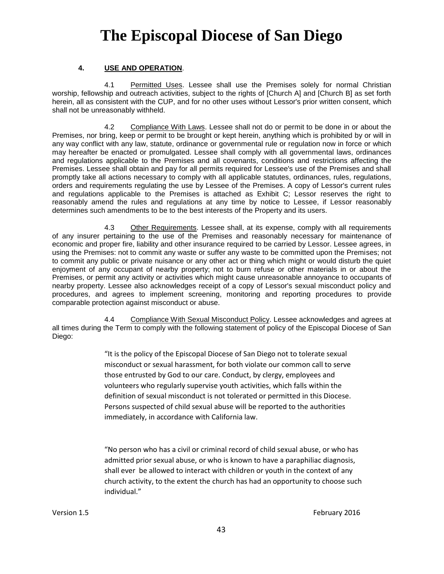#### **4. USE AND OPERATION**.

4.1 Permitted Uses. Lessee shall use the Premises solely for normal Christian worship, fellowship and outreach activities, subject to the rights of [Church A] and [Church B] as set forth herein, all as consistent with the CUP, and for no other uses without Lessor's prior written consent, which shall not be unreasonably withheld.

4.2 Compliance With Laws. Lessee shall not do or permit to be done in or about the Premises, nor bring, keep or permit to be brought or kept herein, anything which is prohibited by or will in any way conflict with any law, statute, ordinance or governmental rule or regulation now in force or which may hereafter be enacted or promulgated. Lessee shall comply with all governmental laws, ordinances and regulations applicable to the Premises and all covenants, conditions and restrictions affecting the Premises. Lessee shall obtain and pay for all permits required for Lessee's use of the Premises and shall promptly take all actions necessary to comply with all applicable statutes, ordinances, rules, regulations, orders and requirements regulating the use by Lessee of the Premises. A copy of Lessor's current rules and regulations applicable to the Premises is attached as Exhibit C; Lessor reserves the right to reasonably amend the rules and regulations at any time by notice to Lessee, if Lessor reasonably determines such amendments to be to the best interests of the Property and its users.

4.3 Other Requirements. Lessee shall, at its expense, comply with all requirements of any insurer pertaining to the use of the Premises and reasonably necessary for maintenance of economic and proper fire, liability and other insurance required to be carried by Lessor. Lessee agrees, in using the Premises: not to commit any waste or suffer any waste to be committed upon the Premises; not to commit any public or private nuisance or any other act or thing which might or would disturb the quiet enjoyment of any occupant of nearby property; not to burn refuse or other materials in or about the Premises, or permit any activity or activities which might cause unreasonable annoyance to occupants of nearby property. Lessee also acknowledges receipt of a copy of Lessor's sexual misconduct policy and procedures, and agrees to implement screening, monitoring and reporting procedures to provide comparable protection against misconduct or abuse.

4.4 Compliance With Sexual Misconduct Policy. Lessee acknowledges and agrees at all times during the Term to comply with the following statement of policy of the Episcopal Diocese of San Diego:

> "It is the policy of the Episcopal Diocese of San Diego not to tolerate sexual misconduct or sexual harassment, for both violate our common call to serve those entrusted by God to our care. Conduct, by clergy, employees and volunteers who regularly supervise youth activities, which falls within the definition of sexual misconduct is not tolerated or permitted in this Diocese. Persons suspected of child sexual abuse will be reported to the authorities immediately, in accordance with California law.

"No person who has a civil or criminal record of child sexual abuse, or who has admitted prior sexual abuse, or who is known to have a paraphiliac diagnosis, shall ever be allowed to interact with children or youth in the context of any church activity, to the extent the church has had an opportunity to choose such individual."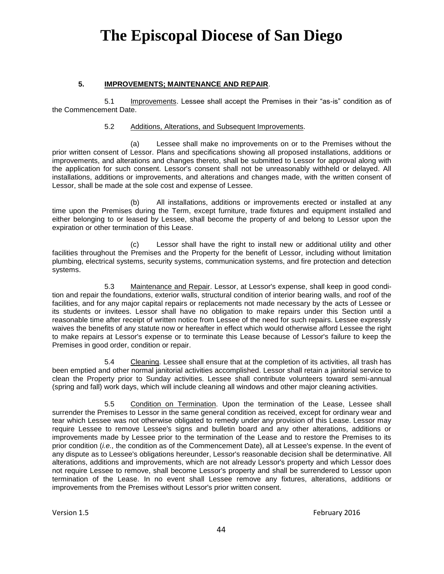#### **5. IMPROVEMENTS; MAINTENANCE AND REPAIR**.

5.1 Improvements. Lessee shall accept the Premises in their "as-is" condition as of the Commencement Date.

#### 5.2 Additions, Alterations, and Subsequent Improvements.

(a) Lessee shall make no improvements on or to the Premises without the prior written consent of Lessor. Plans and specifications showing all proposed installations, additions or improvements, and alterations and changes thereto, shall be submitted to Lessor for approval along with the application for such consent. Lessor's consent shall not be unreasonably withheld or delayed. All installations, additions or improvements, and alterations and changes made, with the written consent of Lessor, shall be made at the sole cost and expense of Lessee.

(b) All installations, additions or improvements erected or installed at any time upon the Premises during the Term, except furniture, trade fixtures and equipment installed and either belonging to or leased by Lessee, shall become the property of and belong to Lessor upon the expiration or other termination of this Lease.

(c) Lessor shall have the right to install new or additional utility and other facilities throughout the Premises and the Property for the benefit of Lessor, including without limitation plumbing, electrical systems, security systems, communication systems, and fire protection and detection systems.

5.3 Maintenance and Repair. Lessor, at Lessor's expense, shall keep in good condition and repair the foundations, exterior walls, structural condition of interior bearing walls, and roof of the facilities, and for any major capital repairs or replacements not made necessary by the acts of Lessee or its students or invitees. Lessor shall have no obligation to make repairs under this Section until a reasonable time after receipt of written notice from Lessee of the need for such repairs. Lessee expressly waives the benefits of any statute now or hereafter in effect which would otherwise afford Lessee the right to make repairs at Lessor's expense or to terminate this Lease because of Lessor's failure to keep the Premises in good order, condition or repair.

5.4 Cleaning. Lessee shall ensure that at the completion of its activities, all trash has been emptied and other normal janitorial activities accomplished. Lessor shall retain a janitorial service to clean the Property prior to Sunday activities. Lessee shall contribute volunteers toward semi-annual (spring and fall) work days, which will include cleaning all windows and other major cleaning activities.

5.5 Condition on Termination. Upon the termination of the Lease, Lessee shall surrender the Premises to Lessor in the same general condition as received, except for ordinary wear and tear which Lessee was not otherwise obligated to remedy under any provision of this Lease. Lessor may require Lessee to remove Lessee's signs and bulletin board and any other alterations, additions or improvements made by Lessee prior to the termination of the Lease and to restore the Premises to its prior condition (*i.e.,* the condition as of the Commencement Date), all at Lessee's expense. In the event of any dispute as to Lessee's obligations hereunder, Lessor's reasonable decision shall be determinative. All alterations, additions and improvements, which are not already Lessor's property and which Lessor does not require Lessee to remove, shall become Lessor's property and shall be surrendered to Lessor upon termination of the Lease. In no event shall Lessee remove any fixtures, alterations, additions or improvements from the Premises without Lessor's prior written consent.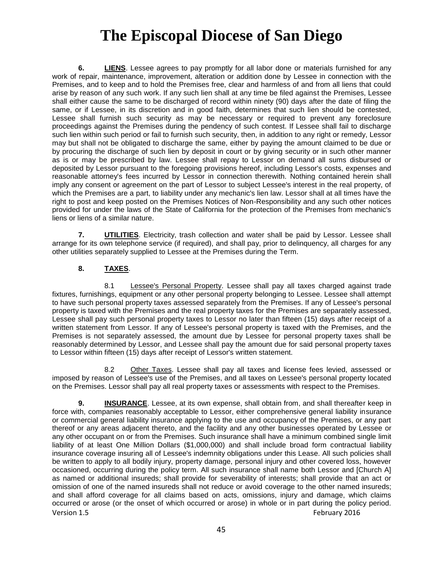**6. LIENS**. Lessee agrees to pay promptly for all labor done or materials furnished for any work of repair, maintenance, improvement, alteration or addition done by Lessee in connection with the Premises, and to keep and to hold the Premises free, clear and harmless of and from all liens that could arise by reason of any such work. If any such lien shall at any time be filed against the Premises, Lessee shall either cause the same to be discharged of record within ninety (90) days after the date of filing the same, or if Lessee, in its discretion and in good faith, determines that such lien should be contested, Lessee shall furnish such security as may be necessary or required to prevent any foreclosure proceedings against the Premises during the pendency of such contest. If Lessee shall fail to discharge such lien within such period or fail to furnish such security, then, in addition to any right or remedy, Lessor may but shall not be obligated to discharge the same, either by paying the amount claimed to be due or by procuring the discharge of such lien by deposit in court or by giving security or in such other manner as is or may be prescribed by law. Lessee shall repay to Lessor on demand all sums disbursed or deposited by Lessor pursuant to the foregoing provisions hereof, including Lessor's costs, expenses and reasonable attorney's fees incurred by Lessor in connection therewith. Nothing contained herein shall imply any consent or agreement on the part of Lessor to subject Lessee's interest in the real property, of which the Premises are a part, to liability under any mechanic's lien law. Lessor shall at all times have the right to post and keep posted on the Premises Notices of Non-Responsibility and any such other notices provided for under the laws of the State of California for the protection of the Premises from mechanic's liens or liens of a similar nature.

**7. UTILITIES**. Electricity, trash collection and water shall be paid by Lessor. Lessee shall arrange for its own telephone service (if required), and shall pay, prior to delinquency, all charges for any other utilities separately supplied to Lessee at the Premises during the Term.

#### **8. TAXES**.

8.1 Lessee's Personal Property. Lessee shall pay all taxes charged against trade fixtures, furnishings, equipment or any other personal property belonging to Lessee. Lessee shall attempt to have such personal property taxes assessed separately from the Premises. If any of Lessee's personal property is taxed with the Premises and the real property taxes for the Premises are separately assessed, Lessee shall pay such personal property taxes to Lessor no later than fifteen (15) days after receipt of a written statement from Lessor. If any of Lessee's personal property is taxed with the Premises, and the Premises is not separately assessed, the amount due by Lessee for personal property taxes shall be reasonably determined by Lessor, and Lessee shall pay the amount due for said personal property taxes to Lessor within fifteen (15) days after receipt of Lessor's written statement.

8.2 Other Taxes. Lessee shall pay all taxes and license fees levied, assessed or imposed by reason of Lessee's use of the Premises, and all taxes on Lessee's personal property located on the Premises. Lessor shall pay all real property taxes or assessments with respect to the Premises.

Version 1.5 February 2016 **9. INSURANCE**. Lessee, at its own expense, shall obtain from, and shall thereafter keep in force with, companies reasonably acceptable to Lessor, either comprehensive general liability insurance or commercial general liability insurance applying to the use and occupancy of the Premises, or any part thereof or any areas adjacent thereto, and the facility and any other businesses operated by Lessee or any other occupant on or from the Premises. Such insurance shall have a minimum combined single limit liability of at least One Million Dollars (\$1,000,000) and shall include broad form contractual liability insurance coverage insuring all of Lessee's indemnity obligations under this Lease. All such policies shall be written to apply to all bodily injury, property damage, personal injury and other covered loss, however occasioned, occurring during the policy term. All such insurance shall name both Lessor and [Church A] as named or additional insureds; shall provide for severability of interests; shall provide that an act or omission of one of the named insureds shall not reduce or avoid coverage to the other named insureds; and shall afford coverage for all claims based on acts, omissions, injury and damage, which claims occurred or arose (or the onset of which occurred or arose) in whole or in part during the policy period.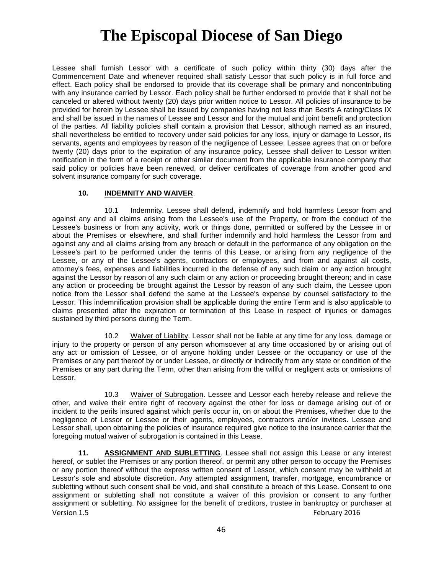Lessee shall furnish Lessor with a certificate of such policy within thirty (30) days after the Commencement Date and whenever required shall satisfy Lessor that such policy is in full force and effect. Each policy shall be endorsed to provide that its coverage shall be primary and noncontributing with any insurance carried by Lessor. Each policy shall be further endorsed to provide that it shall not be canceled or altered without twenty (20) days prior written notice to Lessor. All policies of insurance to be provided for herein by Lessee shall be issued by companies having not less than Best's A rating/Class IX and shall be issued in the names of Lessee and Lessor and for the mutual and joint benefit and protection of the parties. All liability policies shall contain a provision that Lessor, although named as an insured, shall nevertheless be entitled to recovery under said policies for any loss, injury or damage to Lessor, its servants, agents and employees by reason of the negligence of Lessee. Lessee agrees that on or before twenty (20) days prior to the expiration of any insurance policy, Lessee shall deliver to Lessor written notification in the form of a receipt or other similar document from the applicable insurance company that said policy or policies have been renewed, or deliver certificates of coverage from another good and solvent insurance company for such coverage.

#### **10. INDEMNITY AND WAIVER**.

10.1 Indemnity. Lessee shall defend, indemnify and hold harmless Lessor from and against any and all claims arising from the Lessee's use of the Property, or from the conduct of the Lessee's business or from any activity, work or things done, permitted or suffered by the Lessee in or about the Premises or elsewhere, and shall further indemnify and hold harmless the Lessor from and against any and all claims arising from any breach or default in the performance of any obligation on the Lessee's part to be performed under the terms of this Lease, or arising from any negligence of the Lessee, or any of the Lessee's agents, contractors or employees, and from and against all costs, attorney's fees, expenses and liabilities incurred in the defense of any such claim or any action brought against the Lessor by reason of any such claim or any action or proceeding brought thereon; and in case any action or proceeding be brought against the Lessor by reason of any such claim, the Lessee upon notice from the Lessor shall defend the same at the Lessee's expense by counsel satisfactory to the Lessor. This indemnification provision shall be applicable during the entire Term and is also applicable to claims presented after the expiration or termination of this Lease in respect of injuries or damages sustained by third persons during the Term.

10.2 Waiver of Liability. Lessor shall not be liable at any time for any loss, damage or injury to the property or person of any person whomsoever at any time occasioned by or arising out of any act or omission of Lessee, or of anyone holding under Lessee or the occupancy or use of the Premises or any part thereof by or under Lessee, or directly or indirectly from any state or condition of the Premises or any part during the Term, other than arising from the willful or negligent acts or omissions of Lessor.

10.3 Waiver of Subrogation. Lessee and Lessor each hereby release and relieve the other, and waive their entire right of recovery against the other for loss or damage arising out of or incident to the perils insured against which perils occur in, on or about the Premises, whether due to the negligence of Lessor or Lessee or their agents, employees, contractors and/or invitees. Lessee and Lessor shall, upon obtaining the policies of insurance required give notice to the insurance carrier that the foregoing mutual waiver of subrogation is contained in this Lease.

Version 1.5 February 2016 **11. ASSIGNMENT AND SUBLETTING**. Lessee shall not assign this Lease or any interest hereof, or sublet the Premises or any portion thereof, or permit any other person to occupy the Premises or any portion thereof without the express written consent of Lessor, which consent may be withheld at Lessor's sole and absolute discretion. Any attempted assignment, transfer, mortgage, encumbrance or subletting without such consent shall be void, and shall constitute a breach of this Lease. Consent to one assignment or subletting shall not constitute a waiver of this provision or consent to any further assignment or subletting. No assignee for the benefit of creditors, trustee in bankruptcy or purchaser at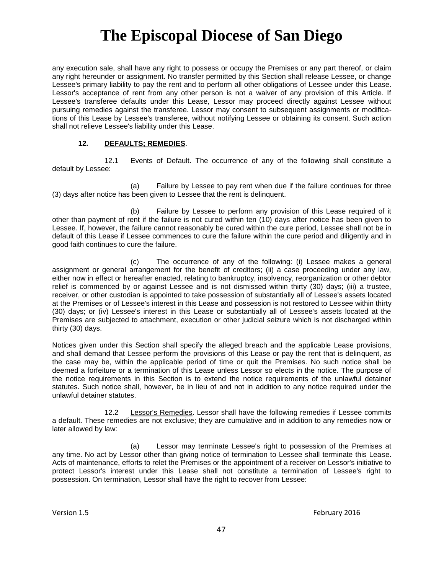any execution sale, shall have any right to possess or occupy the Premises or any part thereof, or claim any right hereunder or assignment. No transfer permitted by this Section shall release Lessee, or change Lessee's primary liability to pay the rent and to perform all other obligations of Lessee under this Lease. Lessor's acceptance of rent from any other person is not a waiver of any provision of this Article. If Lessee's transferee defaults under this Lease, Lessor may proceed directly against Lessee without pursuing remedies against the transferee. Lessor may consent to subsequent assignments or modifications of this Lease by Lessee's transferee, without notifying Lessee or obtaining its consent. Such action shall not relieve Lessee's liability under this Lease.

#### **12. DEFAULTS; REMEDIES**.

12.1 Events of Default. The occurrence of any of the following shall constitute a default by Lessee:

(a) Failure by Lessee to pay rent when due if the failure continues for three (3) days after notice has been given to Lessee that the rent is delinquent.

(b) Failure by Lessee to perform any provision of this Lease required of it other than payment of rent if the failure is not cured within ten (10) days after notice has been given to Lessee. If, however, the failure cannot reasonably be cured within the cure period, Lessee shall not be in default of this Lease if Lessee commences to cure the failure within the cure period and diligently and in good faith continues to cure the failure.

(c) The occurrence of any of the following: (i) Lessee makes a general assignment or general arrangement for the benefit of creditors; (ii) a case proceeding under any law, either now in effect or hereafter enacted, relating to bankruptcy, insolvency, reorganization or other debtor relief is commenced by or against Lessee and is not dismissed within thirty (30) days; (iii) a trustee, receiver, or other custodian is appointed to take possession of substantially all of Lessee's assets located at the Premises or of Lessee's interest in this Lease and possession is not restored to Lessee within thirty (30) days; or (iv) Lessee's interest in this Lease or substantially all of Lessee's assets located at the Premises are subjected to attachment, execution or other judicial seizure which is not discharged within thirty (30) days.

Notices given under this Section shall specify the alleged breach and the applicable Lease provisions, and shall demand that Lessee perform the provisions of this Lease or pay the rent that is delinquent, as the case may be, within the applicable period of time or quit the Premises. No such notice shall be deemed a forfeiture or a termination of this Lease unless Lessor so elects in the notice. The purpose of the notice requirements in this Section is to extend the notice requirements of the unlawful detainer statutes. Such notice shall, however, be in lieu of and not in addition to any notice required under the unlawful detainer statutes.

12.2 Lessor's Remedies. Lessor shall have the following remedies if Lessee commits a default. These remedies are not exclusive; they are cumulative and in addition to any remedies now or later allowed by law:

(a) Lessor may terminate Lessee's right to possession of the Premises at any time. No act by Lessor other than giving notice of termination to Lessee shall terminate this Lease. Acts of maintenance, efforts to relet the Premises or the appointment of a receiver on Lessor's initiative to protect Lessor's interest under this Lease shall not constitute a termination of Lessee's right to possession. On termination, Lessor shall have the right to recover from Lessee: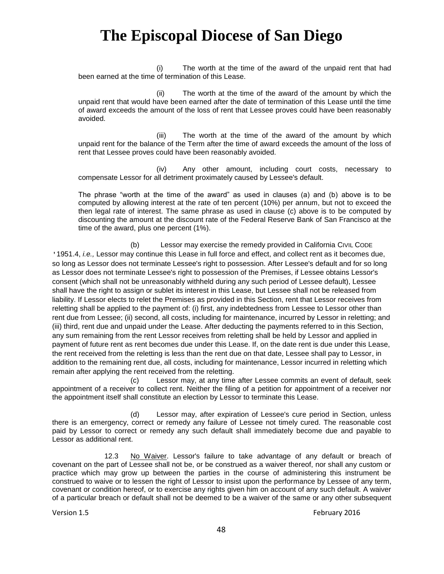(i) The worth at the time of the award of the unpaid rent that had been earned at the time of termination of this Lease.

(ii) The worth at the time of the award of the amount by which the unpaid rent that would have been earned after the date of termination of this Lease until the time of award exceeds the amount of the loss of rent that Lessee proves could have been reasonably avoided.

(iii) The worth at the time of the award of the amount by which unpaid rent for the balance of the Term after the time of award exceeds the amount of the loss of rent that Lessee proves could have been reasonably avoided.

(iv) Any other amount, including court costs, necessary to compensate Lessor for all detriment proximately caused by Lessee's default.

The phrase "worth at the time of the award" as used in clauses (a) and (b) above is to be computed by allowing interest at the rate of ten percent (10%) per annum, but not to exceed the then legal rate of interest. The same phrase as used in clause (c) above is to be computed by discounting the amount at the discount rate of the Federal Reserve Bank of San Francisco at the time of the award, plus one percent (1%).

(b) Lessor may exercise the remedy provided in California CIVIL CODE '1951.4, *i.e.,* Lessor may continue this Lease in full force and effect, and collect rent as it becomes due, so long as Lessor does not terminate Lessee's right to possession. After Lessee's default and for so long as Lessor does not terminate Lessee's right to possession of the Premises, if Lessee obtains Lessor's consent (which shall not be unreasonably withheld during any such period of Lessee default), Lessee shall have the right to assign or sublet its interest in this Lease, but Lessee shall not be released from liability. If Lessor elects to relet the Premises as provided in this Section, rent that Lessor receives from reletting shall be applied to the payment of: (i) first, any indebtedness from Lessee to Lessor other than rent due from Lessee; (ii) second, all costs, including for maintenance, incurred by Lessor in reletting; and (iii) third, rent due and unpaid under the Lease. After deducting the payments referred to in this Section, any sum remaining from the rent Lessor receives from reletting shall be held by Lessor and applied in payment of future rent as rent becomes due under this Lease. If, on the date rent is due under this Lease, the rent received from the reletting is less than the rent due on that date, Lessee shall pay to Lessor, in addition to the remaining rent due, all costs, including for maintenance, Lessor incurred in reletting which remain after applying the rent received from the reletting.

(c) Lessor may, at any time after Lessee commits an event of default, seek appointment of a receiver to collect rent. Neither the filing of a petition for appointment of a receiver nor the appointment itself shall constitute an election by Lessor to terminate this Lease.

(d) Lessor may, after expiration of Lessee's cure period in Section, unless there is an emergency, correct or remedy any failure of Lessee not timely cured. The reasonable cost paid by Lessor to correct or remedy any such default shall immediately become due and payable to Lessor as additional rent.

12.3 No Waiver. Lessor's failure to take advantage of any default or breach of covenant on the part of Lessee shall not be, or be construed as a waiver thereof, nor shall any custom or practice which may grow up between the parties in the course of administering this instrument be construed to waive or to lessen the right of Lessor to insist upon the performance by Lessee of any term, covenant or condition hereof, or to exercise any rights given him on account of any such default. A waiver of a particular breach or default shall not be deemed to be a waiver of the same or any other subsequent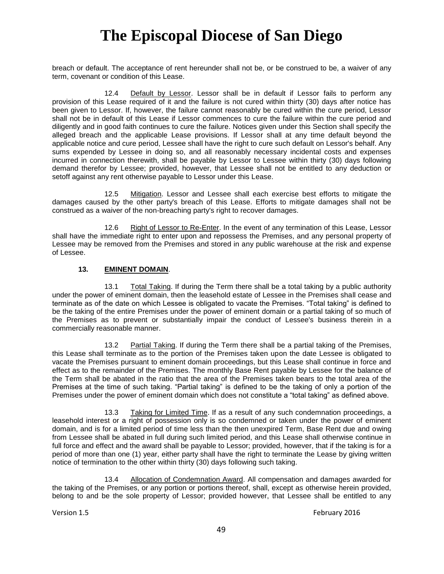breach or default. The acceptance of rent hereunder shall not be, or be construed to be, a waiver of any term, covenant or condition of this Lease.

12.4 Default by Lessor. Lessor shall be in default if Lessor fails to perform any provision of this Lease required of it and the failure is not cured within thirty (30) days after notice has been given to Lessor. If, however, the failure cannot reasonably be cured within the cure period, Lessor shall not be in default of this Lease if Lessor commences to cure the failure within the cure period and diligently and in good faith continues to cure the failure. Notices given under this Section shall specify the alleged breach and the applicable Lease provisions. If Lessor shall at any time default beyond the applicable notice and cure period, Lessee shall have the right to cure such default on Lessor's behalf. Any sums expended by Lessee in doing so, and all reasonably necessary incidental costs and expenses incurred in connection therewith, shall be payable by Lessor to Lessee within thirty (30) days following demand therefor by Lessee; provided, however, that Lessee shall not be entitled to any deduction or setoff against any rent otherwise payable to Lessor under this Lease.

12.5 Mitigation. Lessor and Lessee shall each exercise best efforts to mitigate the damages caused by the other party's breach of this Lease. Efforts to mitigate damages shall not be construed as a waiver of the non-breaching party's right to recover damages.

12.6 Right of Lessor to Re-Enter. In the event of any termination of this Lease, Lessor shall have the immediate right to enter upon and repossess the Premises, and any personal property of Lessee may be removed from the Premises and stored in any public warehouse at the risk and expense of Lessee.

#### **13. EMINENT DOMAIN**.

13.1 Total Taking. If during the Term there shall be a total taking by a public authority under the power of eminent domain, then the leasehold estate of Lessee in the Premises shall cease and terminate as of the date on which Lessee is obligated to vacate the Premises. "Total taking" is defined to be the taking of the entire Premises under the power of eminent domain or a partial taking of so much of the Premises as to prevent or substantially impair the conduct of Lessee's business therein in a commercially reasonable manner.

13.2 Partial Taking. If during the Term there shall be a partial taking of the Premises, this Lease shall terminate as to the portion of the Premises taken upon the date Lessee is obligated to vacate the Premises pursuant to eminent domain proceedings, but this Lease shall continue in force and effect as to the remainder of the Premises. The monthly Base Rent payable by Lessee for the balance of the Term shall be abated in the ratio that the area of the Premises taken bears to the total area of the Premises at the time of such taking. "Partial taking" is defined to be the taking of only a portion of the Premises under the power of eminent domain which does not constitute a "total taking" as defined above.

13.3 Taking for Limited Time. If as a result of any such condemnation proceedings, a leasehold interest or a right of possession only is so condemned or taken under the power of eminent domain, and is for a limited period of time less than the then unexpired Term, Base Rent due and owing from Lessee shall be abated in full during such limited period, and this Lease shall otherwise continue in full force and effect and the award shall be payable to Lessor; provided, however, that if the taking is for a period of more than one (1) year, either party shall have the right to terminate the Lease by giving written notice of termination to the other within thirty (30) days following such taking.

13.4 Allocation of Condemnation Award. All compensation and damages awarded for the taking of the Premises, or any portion or portions thereof, shall, except as otherwise herein provided, belong to and be the sole property of Lessor; provided however, that Lessee shall be entitled to any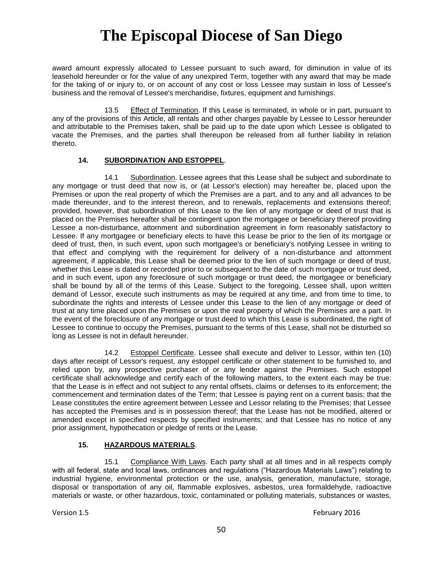award amount expressly allocated to Lessee pursuant to such award, for diminution in value of its leasehold hereunder or for the value of any unexpired Term, together with any award that may be made for the taking of or injury to, or on account of any cost or loss Lessee may sustain in loss of Lessee's business and the removal of Lessee's merchandise, fixtures, equipment and furnishings.

13.5 Effect of Termination. If this Lease is terminated, in whole or in part, pursuant to any of the provisions of this Article, all rentals and other charges payable by Lessee to Lessor hereunder and attributable to the Premises taken, shall be paid up to the date upon which Lessee is obligated to vacate the Premises, and the parties shall thereupon be released from all further liability in relation thereto.

#### **14. SUBORDINATION AND ESTOPPEL**.

14.1 Subordination. Lessee agrees that this Lease shall be subject and subordinate to any mortgage or trust deed that now is, or (at Lessor's election) may hereafter be, placed upon the Premises or upon the real property of which the Premises are a part, and to any and all advances to be made thereunder, and to the interest thereon, and to renewals, replacements and extensions thereof; provided, however, that subordination of this Lease to the lien of any mortgage or deed of trust that is placed on the Premises hereafter shall be contingent upon the mortgagee or beneficiary thereof providing Lessee a non-disturbance, attornment and subordination agreement in form reasonably satisfactory to Lessee. If any mortgagee or beneficiary elects to have this Lease be prior to the lien of its mortgage or deed of trust, then, in such event, upon such mortgagee's or beneficiary's notifying Lessee in writing to that effect and complying with the requirement for delivery of a non-disturbance and attornment agreement, if applicable, this Lease shall be deemed prior to the lien of such mortgage or deed of trust, whether this Lease is dated or recorded prior to or subsequent to the date of such mortgage or trust deed, and in such event, upon any foreclosure of such mortgage or trust deed, the mortgagee or beneficiary shall be bound by all of the terms of this Lease. Subject to the foregoing, Lessee shall, upon written demand of Lessor, execute such instruments as may be required at any time, and from time to time, to subordinate the rights and interests of Lessee under this Lease to the lien of any mortgage or deed of trust at any time placed upon the Premises or upon the real property of which the Premises are a part. In the event of the foreclosure of any mortgage or trust deed to which this Lease is subordinated, the right of Lessee to continue to occupy the Premises, pursuant to the terms of this Lease, shall not be disturbed so long as Lessee is not in default hereunder.

14.2 Estoppel Certificate. Lessee shall execute and deliver to Lessor, within ten (10) days after receipt of Lessor's request, any estoppel certificate or other statement to be furnished to, and relied upon by, any prospective purchaser of or any lender against the Premises. Such estoppel certificate shall acknowledge and certify each of the following matters, to the extent each may be true: that the Lease is in effect and not subject to any rental offsets, claims or defenses to its enforcement; the commencement and termination dates of the Term; that Lessee is paying rent on a current basis; that the Lease constitutes the entire agreement between Lessee and Lessor relating to the Premises; that Lessee has accepted the Premises and is in possession thereof; that the Lease has not be modified, altered or amended except in specified respects by specified instruments; and that Lessee has no notice of any prior assignment, hypothecation or pledge of rents or the Lease.

#### **15. HAZARDOUS MATERIALS**.

15.1 Compliance With Laws. Each party shall at all times and in all respects comply with all federal, state and local laws, ordinances and regulations ("Hazardous Materials Laws") relating to industrial hygiene, environmental protection or the use, analysis, generation, manufacture, storage, disposal or transportation of any oil, flammable explosives, asbestos, urea formaldehyde, radioactive materials or waste, or other hazardous, toxic, contaminated or polluting materials, substances or wastes,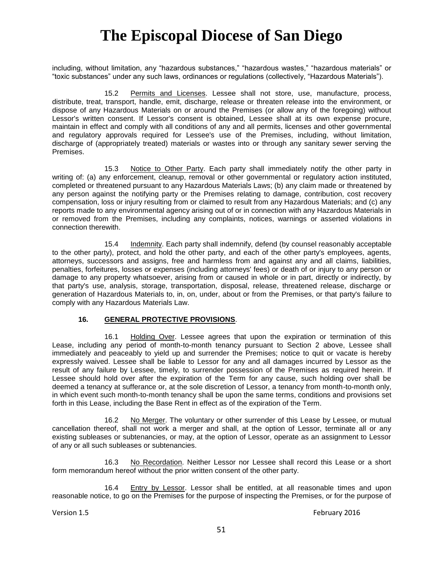including, without limitation, any "hazardous substances," "hazardous wastes," "hazardous materials" or "toxic substances" under any such laws, ordinances or regulations (collectively, "Hazardous Materials").

15.2 Permits and Licenses. Lessee shall not store, use, manufacture, process, distribute, treat, transport, handle, emit, discharge, release or threaten release into the environment, or dispose of any Hazardous Materials on or around the Premises (or allow any of the foregoing) without Lessor's written consent. If Lessor's consent is obtained, Lessee shall at its own expense procure, maintain in effect and comply with all conditions of any and all permits, licenses and other governmental and regulatory approvals required for Lessee's use of the Premises, including, without limitation, discharge of (appropriately treated) materials or wastes into or through any sanitary sewer serving the Premises.

15.3 Notice to Other Party. Each party shall immediately notify the other party in writing of: (a) any enforcement, cleanup, removal or other governmental or regulatory action instituted, completed or threatened pursuant to any Hazardous Materials Laws; (b) any claim made or threatened by any person against the notifying party or the Premises relating to damage, contribution, cost recovery compensation, loss or injury resulting from or claimed to result from any Hazardous Materials; and (c) any reports made to any environmental agency arising out of or in connection with any Hazardous Materials in or removed from the Premises, including any complaints, notices, warnings or asserted violations in connection therewith.

15.4 Indemnity. Each party shall indemnify, defend (by counsel reasonably acceptable to the other party), protect, and hold the other party, and each of the other party's employees, agents, attorneys, successors and assigns, free and harmless from and against any and all claims, liabilities, penalties, forfeitures, losses or expenses (including attorneys' fees) or death of or injury to any person or damage to any property whatsoever, arising from or caused in whole or in part, directly or indirectly, by that party's use, analysis, storage, transportation, disposal, release, threatened release, discharge or generation of Hazardous Materials to, in, on, under, about or from the Premises, or that party's failure to comply with any Hazardous Materials Law.

#### **16. GENERAL PROTECTIVE PROVISIONS**.

16.1 Holding Over. Lessee agrees that upon the expiration or termination of this Lease, including any period of month-to-month tenancy pursuant to Section 2 above, Lessee shall immediately and peaceably to yield up and surrender the Premises; notice to quit or vacate is hereby expressly waived. Lessee shall be liable to Lessor for any and all damages incurred by Lessor as the result of any failure by Lessee, timely, to surrender possession of the Premises as required herein. If Lessee should hold over after the expiration of the Term for any cause, such holding over shall be deemed a tenancy at sufferance or, at the sole discretion of Lessor, a tenancy from month-to-month only, in which event such month-to-month tenancy shall be upon the same terms, conditions and provisions set forth in this Lease, including the Base Rent in effect as of the expiration of the Term.

16.2 No Merger. The voluntary or other surrender of this Lease by Lessee, or mutual cancellation thereof, shall not work a merger and shall, at the option of Lessor, terminate all or any existing subleases or subtenancies, or may, at the option of Lessor, operate as an assignment to Lessor of any or all such subleases or subtenancies.

16.3 No Recordation. Neither Lessor nor Lessee shall record this Lease or a short form memorandum hereof without the prior written consent of the other party.

16.4 Entry by Lessor. Lessor shall be entitled, at all reasonable times and upon reasonable notice, to go on the Premises for the purpose of inspecting the Premises, or for the purpose of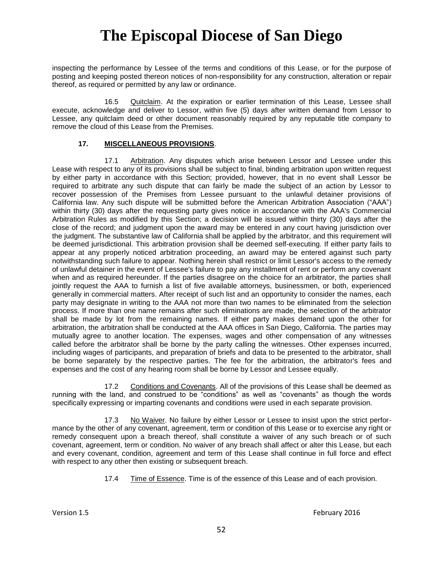inspecting the performance by Lessee of the terms and conditions of this Lease, or for the purpose of posting and keeping posted thereon notices of non-responsibility for any construction, alteration or repair thereof, as required or permitted by any law or ordinance.

16.5 Quitclaim. At the expiration or earlier termination of this Lease, Lessee shall execute, acknowledge and deliver to Lessor, within five (5) days after written demand from Lessor to Lessee, any quitclaim deed or other document reasonably required by any reputable title company to remove the cloud of this Lease from the Premises.

#### **17. MISCELLANEOUS PROVISIONS**.

17.1 Arbitration. Any disputes which arise between Lessor and Lessee under this Lease with respect to any of its provisions shall be subject to final, binding arbitration upon written request by either party in accordance with this Section; provided, however, that in no event shall Lessor be required to arbitrate any such dispute that can fairly be made the subject of an action by Lessor to recover possession of the Premises from Lessee pursuant to the unlawful detainer provisions of California law. Any such dispute will be submitted before the American Arbitration Association ("AAA") within thirty (30) days after the requesting party gives notice in accordance with the AAA's Commercial Arbitration Rules as modified by this Section; a decision will be issued within thirty (30) days after the close of the record; and judgment upon the award may be entered in any court having jurisdiction over the judgment. The substantive law of California shall be applied by the arbitrator, and this requirement will be deemed jurisdictional. This arbitration provision shall be deemed self-executing. If either party fails to appear at any properly noticed arbitration proceeding, an award may be entered against such party notwithstanding such failure to appear. Nothing herein shall restrict or limit Lessor's access to the remedy of unlawful detainer in the event of Lessee's failure to pay any installment of rent or perform any covenant when and as required hereunder. If the parties disagree on the choice for an arbitrator, the parties shall jointly request the AAA to furnish a list of five available attorneys, businessmen, or both, experienced generally in commercial matters. After receipt of such list and an opportunity to consider the names, each party may designate in writing to the AAA not more than two names to be eliminated from the selection process. If more than one name remains after such eliminations are made, the selection of the arbitrator shall be made by lot from the remaining names. If either party makes demand upon the other for arbitration, the arbitration shall be conducted at the AAA offices in San Diego, California. The parties may mutually agree to another location. The expenses, wages and other compensation of any witnesses called before the arbitrator shall be borne by the party calling the witnesses. Other expenses incurred, including wages of participants, and preparation of briefs and data to be presented to the arbitrator, shall be borne separately by the respective parties. The fee for the arbitration, the arbitrator's fees and expenses and the cost of any hearing room shall be borne by Lessor and Lessee equally.

17.2 Conditions and Covenants. All of the provisions of this Lease shall be deemed as running with the land, and construed to be "conditions" as well as "covenants" as though the words specifically expressing or imparting covenants and conditions were used in each separate provision.

17.3 No Waiver. No failure by either Lessor or Lessee to insist upon the strict performance by the other of any covenant, agreement, term or condition of this Lease or to exercise any right or remedy consequent upon a breach thereof, shall constitute a waiver of any such breach or of such covenant, agreement, term or condition. No waiver of any breach shall affect or alter this Lease, but each and every covenant, condition, agreement and term of this Lease shall continue in full force and effect with respect to any other then existing or subsequent breach.

17.4 Time of Essence. Time is of the essence of this Lease and of each provision.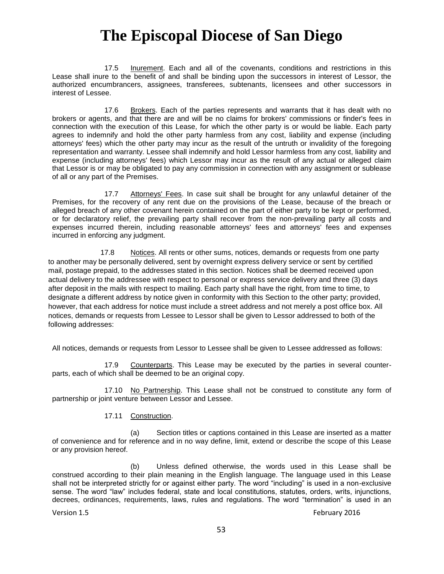17.5 Inurement. Each and all of the covenants, conditions and restrictions in this Lease shall inure to the benefit of and shall be binding upon the successors in interest of Lessor, the authorized encumbrancers, assignees, transferees, subtenants, licensees and other successors in interest of Lessee.

17.6 Brokers. Each of the parties represents and warrants that it has dealt with no brokers or agents, and that there are and will be no claims for brokers' commissions or finder's fees in connection with the execution of this Lease, for which the other party is or would be liable. Each party agrees to indemnify and hold the other party harmless from any cost, liability and expense (including attorneys' fees) which the other party may incur as the result of the untruth or invalidity of the foregoing representation and warranty. Lessee shall indemnify and hold Lessor harmless from any cost, liability and expense (including attorneys' fees) which Lessor may incur as the result of any actual or alleged claim that Lessor is or may be obligated to pay any commission in connection with any assignment or sublease of all or any part of the Premises.

17.7 Attorneys' Fees. In case suit shall be brought for any unlawful detainer of the Premises, for the recovery of any rent due on the provisions of the Lease, because of the breach or alleged breach of any other covenant herein contained on the part of either party to be kept or performed, or for declaratory relief, the prevailing party shall recover from the non-prevailing party all costs and expenses incurred therein, including reasonable attorneys' fees and attorneys' fees and expenses incurred in enforcing any judgment.

17.8 Notices. All rents or other sums, notices, demands or requests from one party to another may be personally delivered, sent by overnight express delivery service or sent by certified mail, postage prepaid, to the addresses stated in this section. Notices shall be deemed received upon actual delivery to the addressee with respect to personal or express service delivery and three (3) days after deposit in the mails with respect to mailing. Each party shall have the right, from time to time, to designate a different address by notice given in conformity with this Section to the other party; provided, however, that each address for notice must include a street address and not merely a post office box. All notices, demands or requests from Lessee to Lessor shall be given to Lessor addressed to both of the following addresses:

All notices, demands or requests from Lessor to Lessee shall be given to Lessee addressed as follows:

17.9 Counterparts. This Lease may be executed by the parties in several counterparts, each of which shall be deemed to be an original copy.

17.10 No Partnership. This Lease shall not be construed to constitute any form of partnership or joint venture between Lessor and Lessee.

#### 17.11 Construction.

(a) Section titles or captions contained in this Lease are inserted as a matter of convenience and for reference and in no way define, limit, extend or describe the scope of this Lease or any provision hereof.

(b) Unless defined otherwise, the words used in this Lease shall be construed according to their plain meaning in the English language. The language used in this Lease shall not be interpreted strictly for or against either party. The word "including" is used in a non-exclusive sense. The word "law" includes federal, state and local constitutions, statutes, orders, writs, injunctions, decrees, ordinances, requirements, laws, rules and regulations. The word "termination" is used in an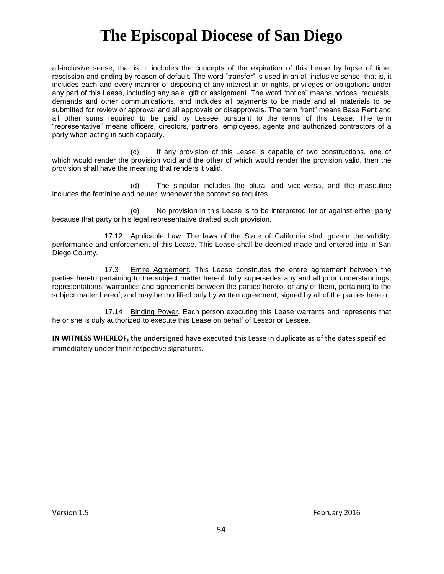all-inclusive sense, that is, it includes the concepts of the expiration of this Lease by lapse of time, rescission and ending by reason of default. The word "transfer" is used in an all-inclusive sense, that is, it includes each and every manner of disposing of any interest in or rights, privileges or obligations under any part of this Lease, including any sale, gift or assignment. The word "notice" means notices, requests, demands and other communications, and includes all payments to be made and all materials to be submitted for review or approval and all approvals or disapprovals. The term "rent" means Base Rent and all other sums required to be paid by Lessee pursuant to the terms of this Lease. The term "representative" means officers, directors, partners, employees, agents and authorized contractors of a party when acting in such capacity.

(c) If any provision of this Lease is capable of two constructions, one of which would render the provision void and the other of which would render the provision valid, then the provision shall have the meaning that renders it valid.

(d) The singular includes the plural and vice-versa, and the masculine includes the feminine and neuter, whenever the context so requires.

(e) No provision in this Lease is to be interpreted for or against either party because that party or his legal representative drafted such provision.

17.12 Applicable Law. The laws of the State of California shall govern the validity, performance and enforcement of this Lease. This Lease shall be deemed made and entered into in San Diego County.

17.3 Entire Agreement. This Lease constitutes the entire agreement between the parties hereto pertaining to the subject matter hereof, fully supersedes any and all prior understandings, representations, warranties and agreements between the parties hereto, or any of them, pertaining to the subject matter hereof, and may be modified only by written agreement, signed by all of the parties hereto.

17.14 Binding Power. Each person executing this Lease warrants and represents that he or she is duly authorized to execute this Lease on behalf of Lessor or Lessee.

**IN WITNESS WHEREOF,** the undersigned have executed this Lease in duplicate as of the dates specified immediately under their respective signatures.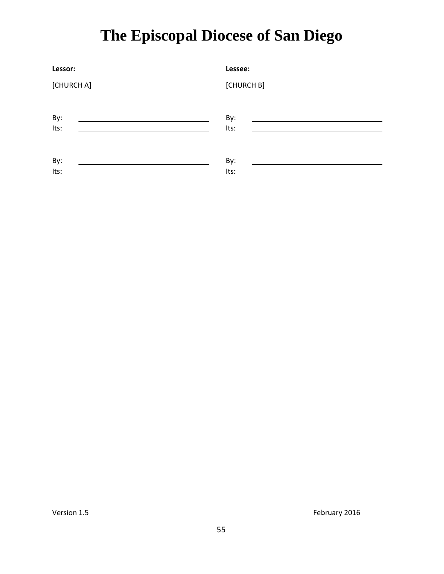| Lessor:    | Lessee:    |
|------------|------------|
| [CHURCH A] | [CHURCH B] |
| By:        | By:        |
| Its:       | Its:       |
| By:        | By:        |
| Its:       | Its:       |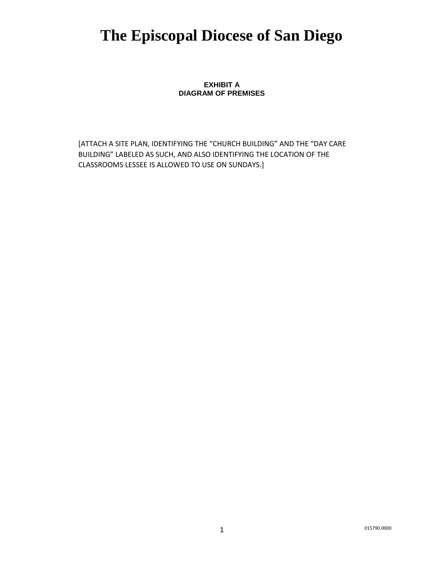**EXHIBIT A DIAGRAM OF PREMISES**

[ATTACH A SITE PLAN, IDENTIFYING THE "CHURCH BUILDING" AND THE "DAY CARE BUILDING" LABELED AS SUCH, AND ALSO IDENTIFYING THE LOCATION OF THE CLASSROOMS LESSEE IS ALLOWED TO USE ON SUNDAYS.]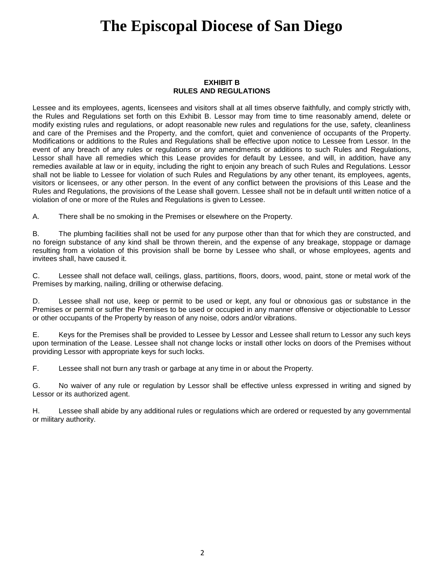#### **EXHIBIT B RULES AND REGULATIONS**

Lessee and its employees, agents, licensees and visitors shall at all times observe faithfully, and comply strictly with, the Rules and Regulations set forth on this Exhibit B. Lessor may from time to time reasonably amend, delete or modify existing rules and regulations, or adopt reasonable new rules and regulations for the use, safety, cleanliness and care of the Premises and the Property, and the comfort, quiet and convenience of occupants of the Property. Modifications or additions to the Rules and Regulations shall be effective upon notice to Lessee from Lessor. In the event of any breach of any rules or regulations or any amendments or additions to such Rules and Regulations, Lessor shall have all remedies which this Lease provides for default by Lessee, and will, in addition, have any remedies available at law or in equity, including the right to enjoin any breach of such Rules and Regulations. Lessor shall not be liable to Lessee for violation of such Rules and Regulations by any other tenant, its employees, agents, visitors or licensees, or any other person. In the event of any conflict between the provisions of this Lease and the Rules and Regulations, the provisions of the Lease shall govern. Lessee shall not be in default until written notice of a violation of one or more of the Rules and Regulations is given to Lessee.

A. There shall be no smoking in the Premises or elsewhere on the Property.

B. The plumbing facilities shall not be used for any purpose other than that for which they are constructed, and no foreign substance of any kind shall be thrown therein, and the expense of any breakage, stoppage or damage resulting from a violation of this provision shall be borne by Lessee who shall, or whose employees, agents and invitees shall, have caused it.

C. Lessee shall not deface wall, ceilings, glass, partitions, floors, doors, wood, paint, stone or metal work of the Premises by marking, nailing, drilling or otherwise defacing.

D. Lessee shall not use, keep or permit to be used or kept, any foul or obnoxious gas or substance in the Premises or permit or suffer the Premises to be used or occupied in any manner offensive or objectionable to Lessor or other occupants of the Property by reason of any noise, odors and/or vibrations.

E. Keys for the Premises shall be provided to Lessee by Lessor and Lessee shall return to Lessor any such keys upon termination of the Lease. Lessee shall not change locks or install other locks on doors of the Premises without providing Lessor with appropriate keys for such locks.

F. Lessee shall not burn any trash or garbage at any time in or about the Property.

G. No waiver of any rule or regulation by Lessor shall be effective unless expressed in writing and signed by Lessor or its authorized agent.

H. Lessee shall abide by any additional rules or regulations which are ordered or requested by any governmental or military authority.